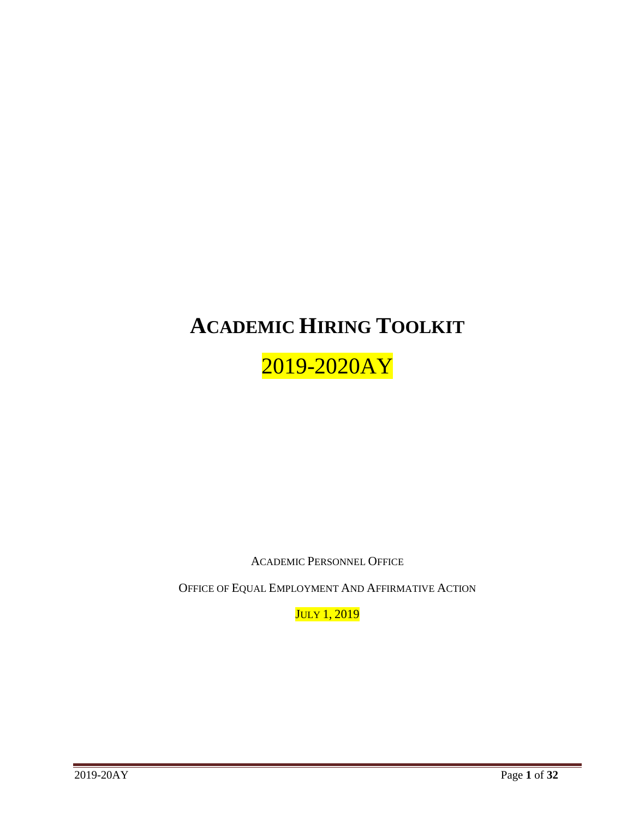# **ACADEMIC HIRING TOOLKIT**

# 2019-2020AY

ACADEMIC PERSONNEL OFFICE

OFFICE OF EQUAL EMPLOYMENT AND AFFIRMATIVE ACTION

JULY 1, 2019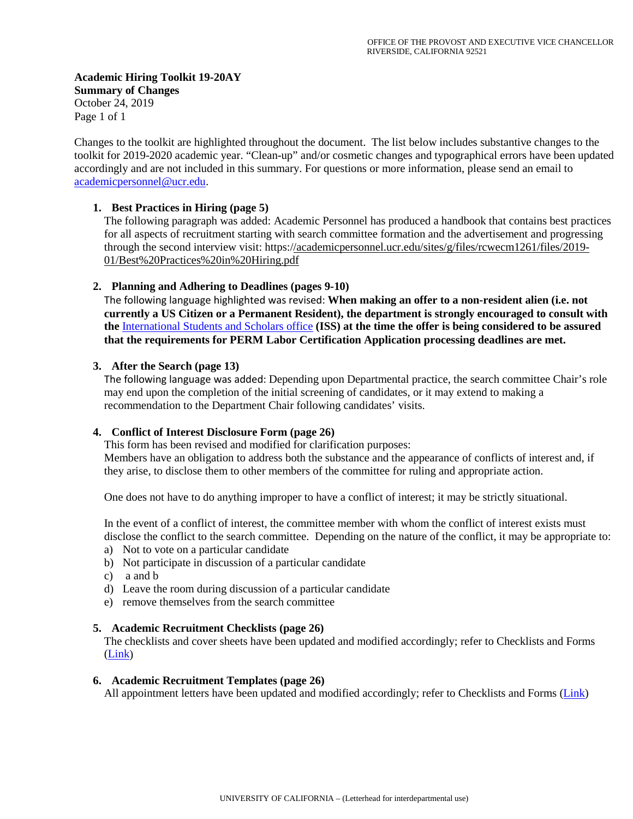#### **Academic Hiring Toolkit 19-20AY Summary of Changes** October 24, 2019 Page 1 of 1

Changes to the toolkit are highlighted throughout the document. The list below includes substantive changes to the toolkit for 2019-2020 academic year. "Clean-up" and/or cosmetic changes and typographical errors have been updated accordingly and are not included in this summary. For questions or more information, please send an email to [academicpersonnel@ucr.edu.](mailto:academicpersonnel@ucr.edu)

#### **1. Best Practices in Hiring (page 5)**

The following paragraph was added: Academic Personnel has produced a handbook that contains best practices for all aspects of recruitment starting with search committee formation and the advertisement and progressing through the second interview visit: [https://academicpersonnel.ucr.edu/sites/g/files/rcwecm1261/files/2019-](https://academicpersonnel.ucr.edu/sites/g/files/rcwecm1261/files/2019-01/Best%20Practices%20in%20Hiring.pdf) [01/Best%20Practices%20in%20Hiring.pdf](https://academicpersonnel.ucr.edu/sites/g/files/rcwecm1261/files/2019-01/Best%20Practices%20in%20Hiring.pdf)

#### **2. Planning and Adhering to Deadlines (pages 9-10)**

The following language highlighted was revised: **When making an offer to a non-resident alien (i.e. not currently a US Citizen or a Permanent Resident), the department is strongly encouraged to consult with the** [International Students and Scholars](https://international.ucr.edu/studentsandscholars) office **(ISS) at the time the offer is being considered to be assured that the requirements for PERM Labor Certification Application processing deadlines are met.** 

#### **3. After the Search (page 13)**

The following language was added: Depending upon Departmental practice, the search committee Chair's role may end upon the completion of the initial screening of candidates, or it may extend to making a recommendation to the Department Chair following candidates' visits.

#### **4. Conflict of Interest Disclosure Form (page 26)**

This form has been revised and modified for clarification purposes:

Members have an obligation to address both the substance and the appearance of conflicts of interest and, if they arise, to disclose them to other members of the committee for ruling and appropriate action.

One does not have to do anything improper to have a conflict of interest; it may be strictly situational.

In the event of a conflict of interest, the committee member with whom the conflict of interest exists must disclose the conflict to the search committee. Depending on the nature of the conflict, it may be appropriate to:

- a) Not to vote on a particular candidate
- b) Not participate in discussion of a particular candidate
- c) a and b
- d) Leave the room during discussion of a particular candidate
- e) remove themselves from the search committee

#### **5. Academic Recruitment Checklists (page 26)**

The checklists and cover sheets have been updated and modified accordingly; refer to Checklists and Forms [\(Link\)](https://academicpersonnel.ucr.edu/checklists-and-forms)

#### **6. Academic Recruitment Templates (page 26)**

All appointment letters have been updated and modified accordingly; refer to Checklists and Forms [\(Link\)](https://academicpersonnel.ucr.edu/checklists-and-forms)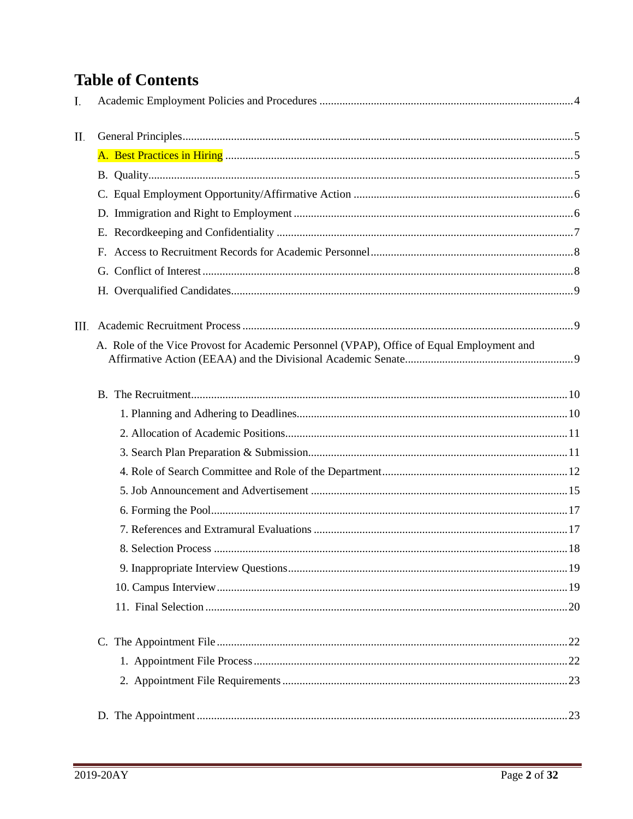# **Table of Contents**

| I. |                                                                                           |  |  |  |  |  |  |  |
|----|-------------------------------------------------------------------------------------------|--|--|--|--|--|--|--|
| П. |                                                                                           |  |  |  |  |  |  |  |
|    |                                                                                           |  |  |  |  |  |  |  |
|    |                                                                                           |  |  |  |  |  |  |  |
|    |                                                                                           |  |  |  |  |  |  |  |
|    |                                                                                           |  |  |  |  |  |  |  |
|    |                                                                                           |  |  |  |  |  |  |  |
|    |                                                                                           |  |  |  |  |  |  |  |
|    |                                                                                           |  |  |  |  |  |  |  |
|    |                                                                                           |  |  |  |  |  |  |  |
|    |                                                                                           |  |  |  |  |  |  |  |
|    | A. Role of the Vice Provost for Academic Personnel (VPAP), Office of Equal Employment and |  |  |  |  |  |  |  |
|    |                                                                                           |  |  |  |  |  |  |  |
|    |                                                                                           |  |  |  |  |  |  |  |
|    |                                                                                           |  |  |  |  |  |  |  |
|    |                                                                                           |  |  |  |  |  |  |  |
|    |                                                                                           |  |  |  |  |  |  |  |
|    |                                                                                           |  |  |  |  |  |  |  |
|    |                                                                                           |  |  |  |  |  |  |  |
|    |                                                                                           |  |  |  |  |  |  |  |
|    |                                                                                           |  |  |  |  |  |  |  |
|    |                                                                                           |  |  |  |  |  |  |  |
|    |                                                                                           |  |  |  |  |  |  |  |
|    |                                                                                           |  |  |  |  |  |  |  |
|    |                                                                                           |  |  |  |  |  |  |  |
|    |                                                                                           |  |  |  |  |  |  |  |
|    |                                                                                           |  |  |  |  |  |  |  |
|    |                                                                                           |  |  |  |  |  |  |  |

÷,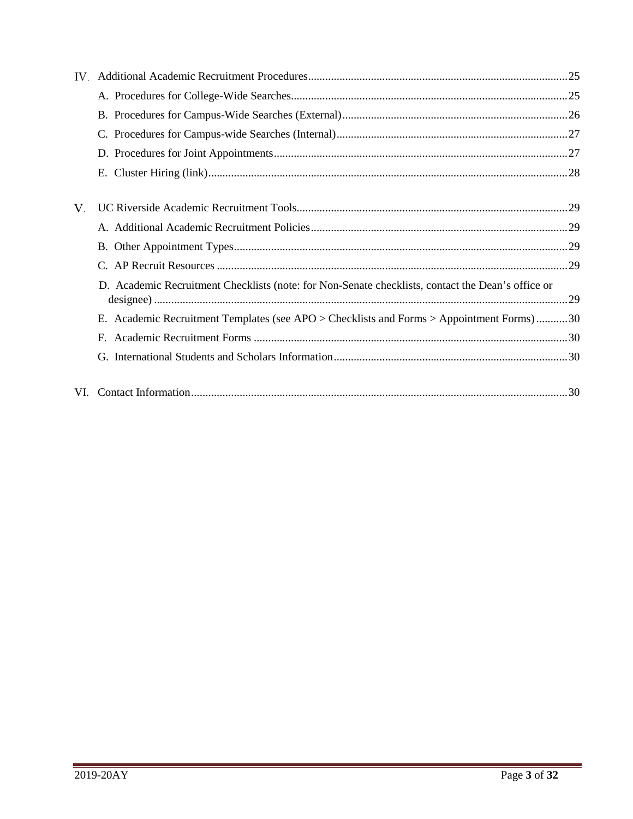| V.  |                                                                                                   |  |
|-----|---------------------------------------------------------------------------------------------------|--|
|     |                                                                                                   |  |
|     |                                                                                                   |  |
|     |                                                                                                   |  |
|     | D. Academic Recruitment Checklists (note: for Non-Senate checklists, contact the Dean's office or |  |
|     | E. Academic Recruitment Templates (see APO > Checklists and Forms > Appointment Forms)30          |  |
|     |                                                                                                   |  |
|     |                                                                                                   |  |
| VI. |                                                                                                   |  |

Е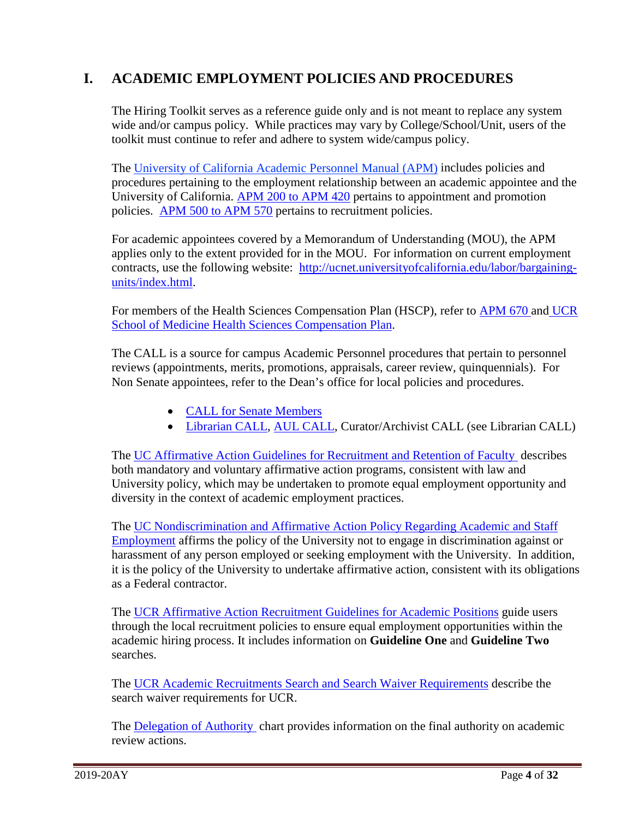# <span id="page-4-0"></span>**I. ACADEMIC EMPLOYMENT POLICIES AND PROCEDURES**

The Hiring Toolkit serves as a reference guide only and is not meant to replace any system wide and/or campus policy. While practices may vary by College/School/Unit, users of the toolkit must continue to refer and adhere to system wide/campus policy.

The [University of California Academic Personnel Manual \(APM\)](http://www.ucop.edu/acadadv/acadpers/apm/welcome.html) includes policies and procedures pertaining to the employment relationship between an academic appointee and the University of California. [APM 200 to APM 420](http://www.ucop.edu/academic-personnel/academic-personnel-policy/appointment-and-promotion/index.html) pertains to appointment and promotion policies. [APM 500 to APM 570](http://www.ucop.edu/academic-personnel-programs/academic-personnel-policy/recruitment/index.html) pertains to recruitment policies.

For academic appointees covered by a Memorandum of Understanding (MOU), the APM applies only to the extent provided for in the MOU. For information on current employment contracts, use the following website: [http://ucnet.universityofcalifornia.edu/labor/bargaining](http://ucnet.universityofcalifornia.edu/labor/bargaining-units/index.html)[units/index.html.](http://ucnet.universityofcalifornia.edu/labor/bargaining-units/index.html)

For members of the Health Sciences Compensation Plan (HSCP), refer to **APM 670** and UCR [School of Medicine Health Sciences Compensation Plan.](https://somacademicaffairs.ucr.edu/sites/g/files/rcwecm2346/files/2019-04/ucr_hscp_implementing_procedures_2015.pdf)

The CALL is a source for campus Academic Personnel procedures that pertain to personnel reviews (appointments, merits, promotions, appraisals, career review, quinquennials). For Non Senate appointees, refer to the Dean's office for local policies and procedures.

- [CALL for Senate Members](http://academicpersonnel.ucr.edu/the_call/)
- [Librarian CALL,](http://academicpersonnel.ucr.edu/checklists_and_forms/academic_reviews/LibCall.pdf) [AUL CALL,](http://academicpersonnel.ucr.acsitefactory.com/sites/g/files/rcwecm1261/files/2018-11/AULCall.pdf) Curator/Archivist CALL (see Librarian CALL)

The [UC Affirmative Action Guidelines for Recruitment and Retention of Faculty](http://www.ucop.edu/academic-personnel/_files/documents/affirmative.pdf) describes both mandatory and voluntary affirmative action programs, consistent with law and University policy, which may be undertaken to promote equal employment opportunity and diversity in the context of academic employment practices.

The [UC Nondiscrimination and Affirmative Action Policy Regarding Academic and Staff](http://policy.ucop.edu/doc/4000376/NondiscrimAffirmAct)  [Employment](http://policy.ucop.edu/doc/4000376/NondiscrimAffirmAct) affirms the policy of the University not to engage in discrimination against or harassment of any person employed or seeking employment with the University. In addition, it is the policy of the University to undertake affirmative action, consistent with its obligations as a Federal contractor.

The [UCR Affirmative Action Recruitment Guidelines for Academic Positions](https://hr.ucr.edu/sites/g/files/rcwecm656/files/2019-07/aa_recruitment_guidelines.pdf) guide users through the local recruitment policies to ensure equal employment opportunities within the academic hiring process. It includes information on **Guideline One** and **Guideline Two** searches.

The [UCR Academic Recruitments Search and Search Waiver Requirements](http://academicpersonnel.ucr.edu/resources/AcademicSearchandSearchWaiverRequirements.pdf) describe the search waiver requirements for UCR.

The **Delegation of Authority** chart provides information on the final authority on academic review actions.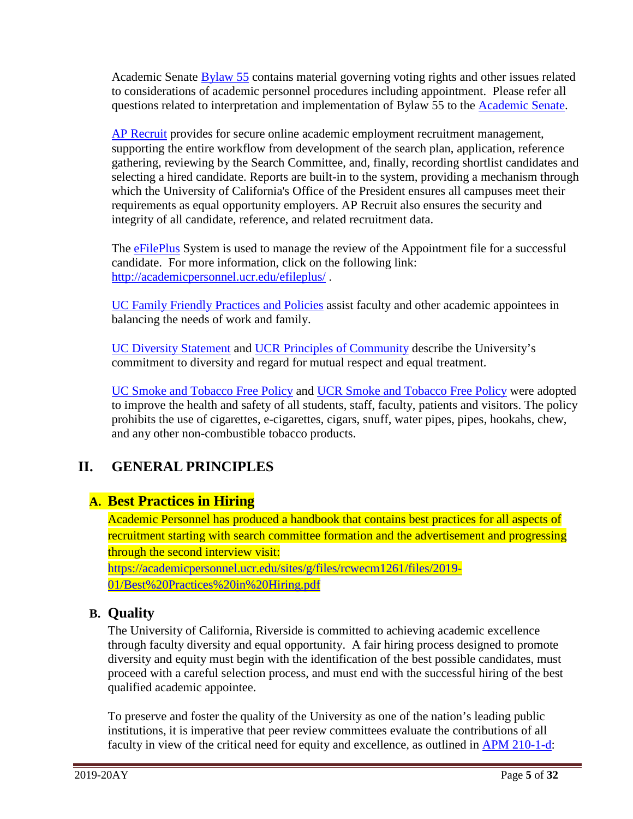Academic Senate [Bylaw 55](http://senate.ucr.edu/bylaws/?action=read_bylaws&code=app§ion=04) contains material governing voting rights and other issues related to considerations of academic personnel procedures including appointment. Please refer all questions related to interpretation and implementation of Bylaw 55 to the [Academic Senate.](mailto:senate@ucr.edu)

[AP Recruit](http://cnc.ucr.edu/aprecruit/) provides for secure online academic employment recruitment management, supporting the entire workflow from development of the search plan, application, reference gathering, reviewing by the Search Committee, and, finally, recording shortlist candidates and selecting a hired candidate. Reports are built-in to the system, providing a mechanism through which the University of California's Office of the President ensures all campuses meet their requirements as equal opportunity employers. AP Recruit also ensures the security and integrity of all candidate, reference, and related recruitment data.

The [eFileP](http://efileinfo.ucr.edu/)lus System is used to manage the review of the Appointment file for a successful candidate. For more information, click on the following link: <http://academicpersonnel.ucr.edu/efileplus/> .

[UC Family Friendly Practices and Policies](https://www.ucop.edu/faculty-diversity/policies-guidelines/family-friendly-practices-and-policies/family-friendly-policies-and-issues.html) assist faculty and other academic appointees in balancing the needs of work and family.

[UC Diversity Statement](https://regents.universityofcalifornia.edu/governance/policies/4400.html) and [UCR Principles of Community](http://chancellor.ucr.edu/documents/community.pdf) describe the University's commitment to diversity and regard for mutual respect and equal treatment.

[UC Smoke and Tobacco Free Policy](https://policy.ucop.edu/doc/4000371/SmokingPolicy) and [UCR Smoke and Tobacco Free Policy](https://tobaccofree.ucr.edu/policy.html) were adopted to improve the health and safety of all students, staff, faculty, patients and visitors. The policy prohibits the use of cigarettes, e-cigarettes, cigars, snuff, water pipes, pipes, hookahs, chew, and any other non-combustible tobacco products.

# <span id="page-5-0"></span>**II. GENERAL PRINCIPLES**

# <span id="page-5-1"></span>**A. Best Practices in Hiring**

Academic Personnel has produced a handbook that contains best practices for all aspects of recruitment starting with search committee formation and the advertisement and progressing through the second interview visit:

[https://academicpersonnel.ucr.edu/sites/g/files/rcwecm1261/files/2019-](https://academicpersonnel.ucr.edu/sites/g/files/rcwecm1261/files/2019-01/Best%20Practices%20in%20Hiring.pdf) [01/Best%20Practices%20in%20Hiring.pdf](https://academicpersonnel.ucr.edu/sites/g/files/rcwecm1261/files/2019-01/Best%20Practices%20in%20Hiring.pdf)

# <span id="page-5-2"></span>**B. Quality**

The University of California, Riverside is committed to achieving academic excellence through faculty diversity and equal opportunity. A fair hiring process designed to promote diversity and equity must begin with the identification of the best possible candidates, must proceed with a careful selection process, and must end with the successful hiring of the best qualified academic appointee.

To preserve and foster the quality of the University as one of the nation's leading public institutions, it is imperative that peer review committees evaluate the contributions of all faculty in view of the critical need for equity and excellence, as outlined in [APM 210-1-d:](http://www.ucop.edu/academic-personnel/_files/apm/apm-210.pdf#page=3)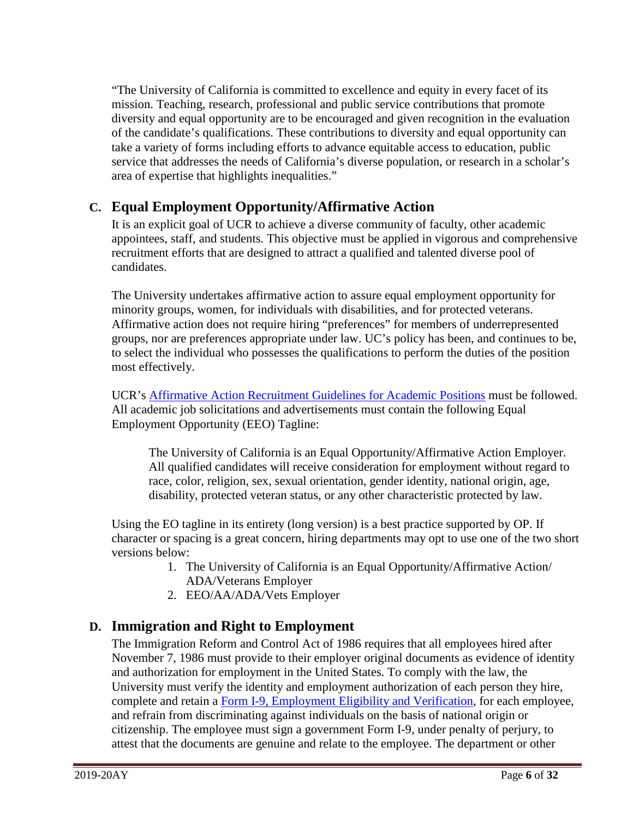"The University of California is committed to excellence and equity in every facet of its mission. Teaching, research, professional and public service contributions that promote diversity and equal opportunity are to be encouraged and given recognition in the evaluation of the candidate's qualifications. These contributions to diversity and equal opportunity can take a variety of forms including efforts to advance equitable access to education, public service that addresses the needs of California's diverse population, or research in a scholar's area of expertise that highlights inequalities."

# <span id="page-6-0"></span>**C. Equal Employment Opportunity/Affirmative Action**

It is an explicit goal of UCR to achieve a diverse community of faculty, other academic appointees, staff, and students. This objective must be applied in vigorous and comprehensive recruitment efforts that are designed to attract a qualified and talented diverse pool of candidates.

The University undertakes affirmative action to assure equal employment opportunity for minority groups, women, for individuals with disabilities, and for protected veterans. Affirmative action does not require hiring "preferences" for members of underrepresented groups, nor are preferences appropriate under law. UC's policy has been, and continues to be, to select the individual who possesses the qualifications to perform the duties of the position most effectively.

UCR's [Affirmative Action Recruitment Guidelines for Academic Positions](https://hr.ucr.edu/sites/g/files/rcwecm656/files/2019-07/aa_recruitment_guidelines.pdf) must be followed. All academic job solicitations and advertisements must contain the following Equal Employment Opportunity (EEO) Tagline:

The University of California is an Equal Opportunity/Affirmative Action Employer. All qualified candidates will receive consideration for employment without regard to race, color, religion, sex, sexual orientation, gender identity, national origin, age, disability, protected veteran status, or any other characteristic protected by law.

Using the EO tagline in its entirety (long version) is a best practice supported by OP. If character or spacing is a great concern, hiring departments may opt to use one of the two short versions below:

- 1. The University of California is an Equal Opportunity/Affirmative Action/ ADA/Veterans Employer
- 2. EEO/AA/ADA/Vets Employer

### <span id="page-6-1"></span>**D. Immigration and Right to Employment**

The Immigration Reform and Control Act of 1986 requires that all employees hired after November 7, 1986 must provide to their employer original documents as evidence of identity and authorization for employment in the United States. To comply with the law, the University must verify the identity and employment authorization of each person they hire, complete and retain a [Form I-9, Employment Eligibility and Verification,](http://www.uscis.gov/files/form/i-9.pdf) for each employee, and refrain from discriminating against individuals on the basis of national origin or citizenship. The employee must sign a government Form I-9, under penalty of perjury, to attest that the documents are genuine and relate to the employee. The department or other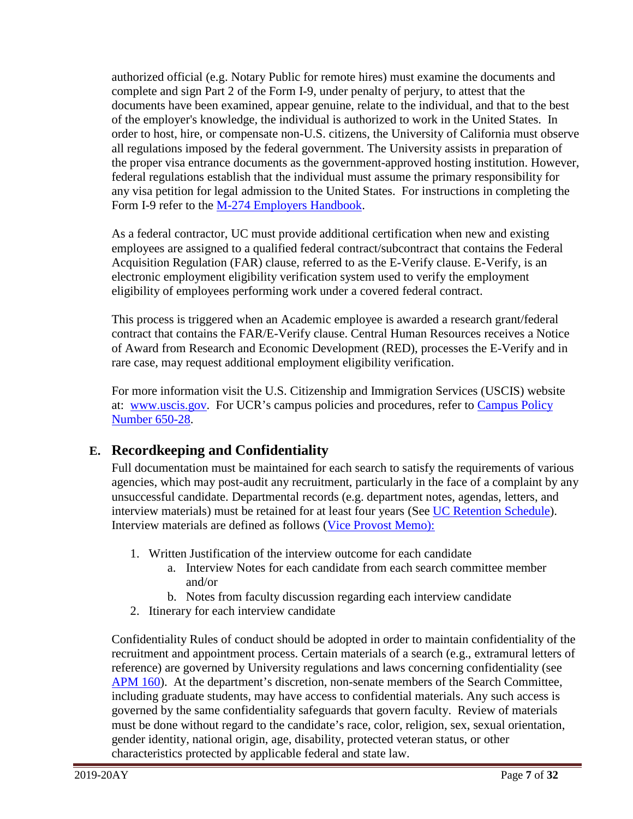authorized official (e.g. Notary Public for remote hires) must examine the documents and complete and sign Part 2 of the Form I-9, under penalty of perjury, to attest that the documents have been examined, appear genuine, relate to the individual, and that to the best of the employer's knowledge, the individual is authorized to work in the United States. In order to host, hire, or compensate non-U.S. citizens, the University of California must observe all regulations imposed by the federal government. The University assists in preparation of the proper visa entrance documents as the government-approved hosting institution. However, federal regulations establish that the individual must assume the primary responsibility for any visa petition for legal admission to the United States. For instructions in completing the Form I-9 refer to the [M-274 Employers Handbook.](http://www.uscis.gov/files/form/m-274.pdf)

As a federal contractor, UC must provide additional certification when new and existing employees are assigned to a qualified federal contract/subcontract that contains the Federal Acquisition Regulation (FAR) clause, referred to as the E-Verify clause. E-Verify, is an electronic employment eligibility verification system used to verify the employment eligibility of employees performing work under a covered federal contract.

This process is triggered when an Academic employee is awarded a research grant/federal contract that contains the FAR/E-Verify clause. Central Human Resources receives a Notice of Award from Research and Economic Development (RED), processes the E-Verify and in rare case, may request additional employment eligibility verification.

For more information visit the U.S. Citizenship and Immigration Services (USCIS) website at: [www.uscis.gov.](http://www.uscis.gov/portal/site/uscis/menuitem.eb1d4c2a3e5b9ac89243c6a7543f6d1a/?vgnextoid=84c267ee5cb38210VgnVCM100000082ca60aRCRD&vgnextchannel=84c267ee5cb38210VgnVCM100000082ca60aRCRD) For UCR's campus policies and procedures, refer to [Campus Policy](http://fboapps.ucr.edu/policies/index.php?path=viewPolicies.php&policy=650-28)  [Number 650-28.](http://fboapps.ucr.edu/policies/index.php?path=viewPolicies.php&policy=650-28)

# <span id="page-7-0"></span>**E. Recordkeeping and Confidentiality**

Full documentation must be maintained for each search to satisfy the requirements of various agencies, which may post-audit any recruitment, particularly in the face of a complaint by any unsuccessful candidate. Departmental records (e.g. department notes, agendas, letters, and interview materials) must be retained for at least four years (See [UC Retention Schedule\)](http://recordsretention.ucop.edu/). Interview materials are defined as follows [\(Vice Provost Memo\):](http://cnc.ucr.edu/aprecruit/vpap_memo_regarding_aprecruit_search_report_requirements.pdf)

- 1. Written Justification of the interview outcome for each candidate
	- a. Interview Notes for each candidate from each search committee member and/or
	- b. Notes from faculty discussion regarding each interview candidate
- 2. Itinerary for each interview candidate

Confidentiality Rules of conduct should be adopted in order to maintain confidentiality of the recruitment and appointment process. Certain materials of a search (e.g., extramural letters of reference) are governed by University regulations and laws concerning confidentiality (see [APM 160\)](http://www.ucop.edu/academic-personnel/_files/apm/apm-160.pdf). At the department's discretion, non-senate members of the Search Committee, including graduate students, may have access to confidential materials. Any such access is governed by the same confidentiality safeguards that govern faculty. Review of materials must be done without regard to the candidate's race, color, religion, sex, sexual orientation, gender identity, national origin, age, disability, protected veteran status, or other characteristics protected by applicable federal and state law.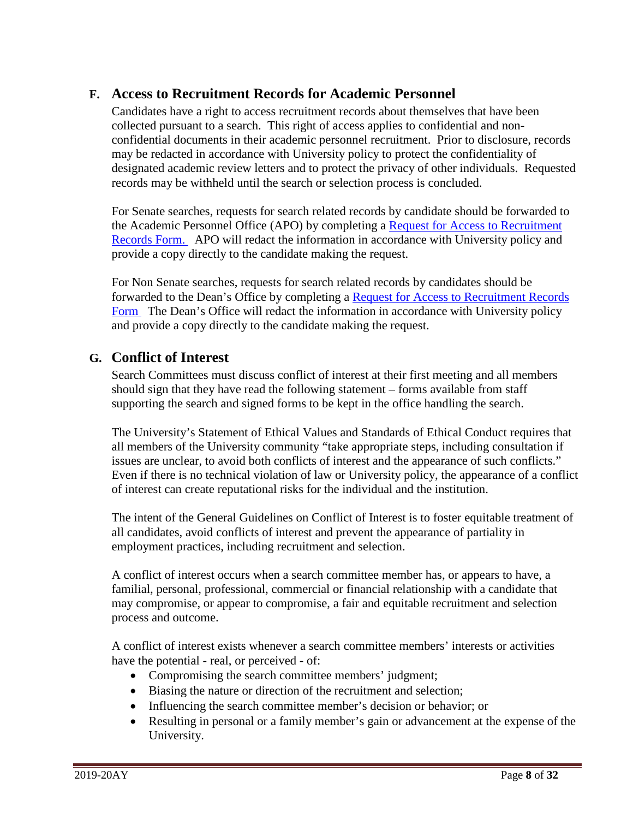### <span id="page-8-0"></span>**F. Access to Recruitment Records for Academic Personnel**

Candidates have a right to access recruitment records about themselves that have been collected pursuant to a search. This right of access applies to confidential and nonconfidential documents in their academic personnel recruitment. Prior to disclosure, records may be redacted in accordance with University policy to protect the confidentiality of designated academic review letters and to protect the privacy of other individuals. Requested records may be withheld until the search or selection process is concluded.

For Senate searches, requests for search related records by candidate should be forwarded to the Academic Personnel Office (APO) by completing a [Request for Access to Recruitment](http://academicpersonnel.ucr.acsitefactory.com/sites/g/files/rcwecm1261/files/2018-08/candidate_request_for_recruitment_records.pdf)  [Records Form.](http://academicpersonnel.ucr.acsitefactory.com/sites/g/files/rcwecm1261/files/2018-08/candidate_request_for_recruitment_records.pdf) APO will redact the information in accordance with University policy and provide a copy directly to the candidate making the request.

For Non Senate searches, requests for search related records by candidates should be forwarded to the Dean's Office by completing a [Request for Access to Recruitment Records](http://academicpersonnel.ucr.acsitefactory.com/sites/g/files/rcwecm1261/files/2018-08/candidate_request_for_recruitment_records.pdf)  [Form](http://academicpersonnel.ucr.acsitefactory.com/sites/g/files/rcwecm1261/files/2018-08/candidate_request_for_recruitment_records.pdf) The Dean's Office will redact the information in accordance with University policy and provide a copy directly to the candidate making the request.

### <span id="page-8-1"></span>**G. Conflict of Interest**

Search Committees must discuss conflict of interest at their first meeting and all members should sign that they have read the following statement – forms available from staff supporting the search and signed forms to be kept in the office handling the search.

The University's Statement of Ethical Values and Standards of Ethical Conduct requires that all members of the University community "take appropriate steps, including consultation if issues are unclear, to avoid both conflicts of interest and the appearance of such conflicts." Even if there is no technical violation of law or University policy, the appearance of a conflict of interest can create reputational risks for the individual and the institution.

The intent of the General Guidelines on Conflict of Interest is to foster equitable treatment of all candidates, avoid conflicts of interest and prevent the appearance of partiality in employment practices, including recruitment and selection.

A conflict of interest occurs when a search committee member has, or appears to have, a familial, personal, professional, commercial or financial relationship with a candidate that may compromise, or appear to compromise, a fair and equitable recruitment and selection process and outcome.

A conflict of interest exists whenever a search committee members' interests or activities have the potential - real, or perceived - of:

- Compromising the search committee members' judgment;
- Biasing the nature or direction of the recruitment and selection;
- Influencing the search committee member's decision or behavior; or
- Resulting in personal or a family member's gain or advancement at the expense of the University.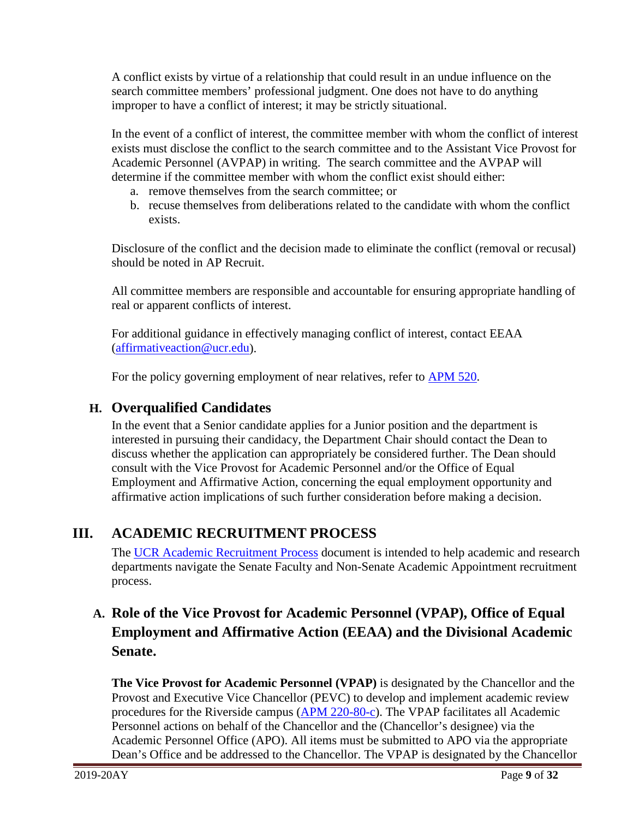A conflict exists by virtue of a relationship that could result in an undue influence on the search committee members' professional judgment. One does not have to do anything improper to have a conflict of interest; it may be strictly situational.

In the event of a conflict of interest, the committee member with whom the conflict of interest exists must disclose the conflict to the search committee and to the Assistant Vice Provost for Academic Personnel (AVPAP) in writing. The search committee and the AVPAP will determine if the committee member with whom the conflict exist should either:

- a. remove themselves from the search committee; or
- b. recuse themselves from deliberations related to the candidate with whom the conflict exists.

Disclosure of the conflict and the decision made to eliminate the conflict (removal or recusal) should be noted in AP Recruit.

All committee members are responsible and accountable for ensuring appropriate handling of real or apparent conflicts of interest.

For additional guidance in effectively managing conflict of interest, contact EEAA [\(affirmativeaction@ucr.edu\)](mailto:affirmativeaction@ucr.edu).

For the policy governing employment of near relatives, refer to [APM 520.](http://www.ucop.edu/academic-personnel/_files/apm/apm-520.pdf)

# <span id="page-9-0"></span>**H. Overqualified Candidates**

In the event that a Senior candidate applies for a Junior position and the department is interested in pursuing their candidacy, the Department Chair should contact the Dean to discuss whether the application can appropriately be considered further. The Dean should consult with the Vice Provost for Academic Personnel and/or the Office of Equal Employment and Affirmative Action, concerning the equal employment opportunity and affirmative action implications of such further consideration before making a decision.

# **III. ACADEMIC RECRUITMENT PROCESS**

The [UCR Academic Recruitment Process](http://cnc.ucr.edu/aprecruit/academic_recruitment_process.pdf) document is intended to help academic and research departments navigate the Senate Faculty and Non-Senate Academic Appointment recruitment process.

# <span id="page-9-1"></span>**A. Role of the Vice Provost for Academic Personnel (VPAP), Office of Equal Employment and Affirmative Action (EEAA) and the Divisional Academic Senate.**

**The Vice Provost for Academic Personnel (VPAP)** is designated by the Chancellor and the Provost and Executive Vice Chancellor (PEVC) to develop and implement academic review procedures for the Riverside campus [\(APM 220-80-c\)](https://www.ucop.edu/academic-personnel-programs/_files/apm/apm-220.pdf#page=12). The VPAP facilitates all Academic Personnel actions on behalf of the Chancellor and the (Chancellor's designee) via the Academic Personnel Office (APO). All items must be submitted to APO via the appropriate Dean's Office and be addressed to the Chancellor. The VPAP is designated by the Chancellor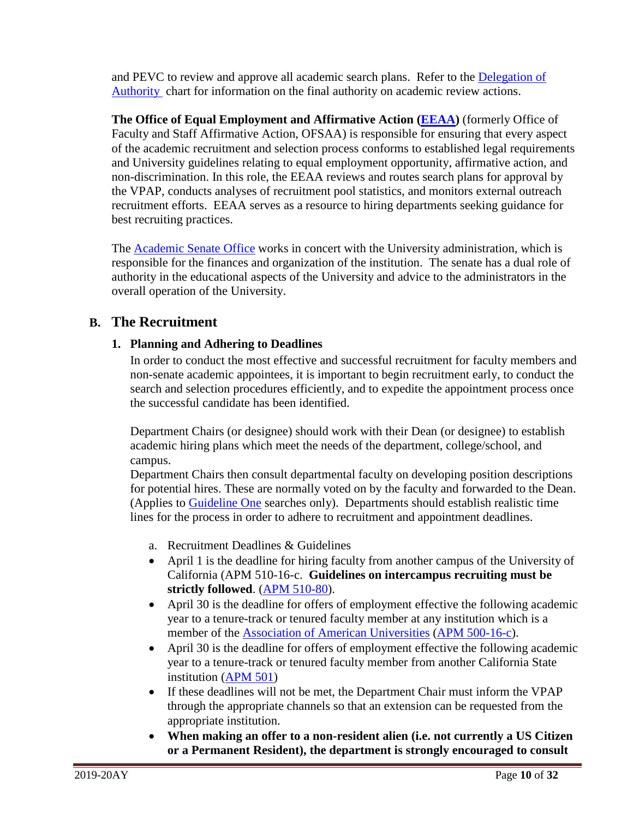and PEVC to review and approve all academic search plans. Refer to the [Delegation of](http://academicpersonnel.ucr.edu/resources/DOAChart.pdf)  [Authority](http://academicpersonnel.ucr.edu/resources/DOAChart.pdf) chart for information on the final authority on academic review actions.

**The Office of Equal Employment and Affirmative Action [\(EEAA\)](http://hr.ucr.edu/eeaa.html)** (formerly Office of Faculty and Staff Affirmative Action, OFSAA) is responsible for ensuring that every aspect of the academic recruitment and selection process conforms to established legal requirements and University guidelines relating to equal employment opportunity, affirmative action, and non-discrimination. In this role, the EEAA reviews and routes search plans for approval by the VPAP, conducts analyses of recruitment pool statistics, and monitors external outreach recruitment efforts. EEAA serves as a resource to hiring departments seeking guidance for best recruiting practices.

The [Academic Senate Office](http://senate.ucr.edu/) works in concert with the University administration, which is responsible for the finances and organization of the institution. The senate has a dual role of authority in the educational aspects of the University and advice to the administrators in the overall operation of the University.

# <span id="page-10-1"></span><span id="page-10-0"></span>**B. The Recruitment**

### **1. Planning and Adhering to Deadlines**

In order to conduct the most effective and successful recruitment for faculty members and non-senate academic appointees, it is important to begin recruitment early, to conduct the search and selection procedures efficiently, and to expedite the appointment process once the successful candidate has been identified.

Department Chairs (or designee) should work with their Dean (or designee) to establish academic hiring plans which meet the needs of the department, college/school, and campus.

Department Chairs then consult departmental faculty on developing position descriptions for potential hires. These are normally voted on by the faculty and forwarded to the Dean. (Applies to [Guideline One](http://affirmativeaction.ucr.edu/pracacademic/ucraarecruitguidelines.pdf) searches only). Departments should establish realistic time lines for the process in order to adhere to recruitment and appointment deadlines.

- a. Recruitment Deadlines & Guidelines
- April 1 is the deadline for hiring faculty from another campus of the University of California (APM 510-16-c. **Guidelines on intercampus recruiting must be strictly followed**. [\(APM 510-80\)](http://www.ucop.edu/academic-personnel/_files/apm/apm-510.pdf#page=3).
- April 30 is the deadline for offers of employment effective the following academic year to a tenure-track or tenured faculty member at any institution which is a member of the [Association of American Universities](https://www.aau.edu/who-we-are/our-members) [\(APM 500-16-c\)](http://www.ucop.edu/academic-personnel-programs/_files/apm/apm-500.pdf#page=2).
- April 30 is the deadline for offers of employment effective the following academic year to a tenure-track or tenured faculty member from another California State institution [\(APM](http://www.ucop.edu/academic-personnel/_files/apm/apm-501.pdf) 501)
- If these deadlines will not be met, the Department Chair must inform the VPAP through the appropriate channels so that an extension can be requested from the appropriate institution.
- **When making an offer to a non-resident alien (i.e. not currently a US Citizen or a Permanent Resident), the department is strongly encouraged to consult**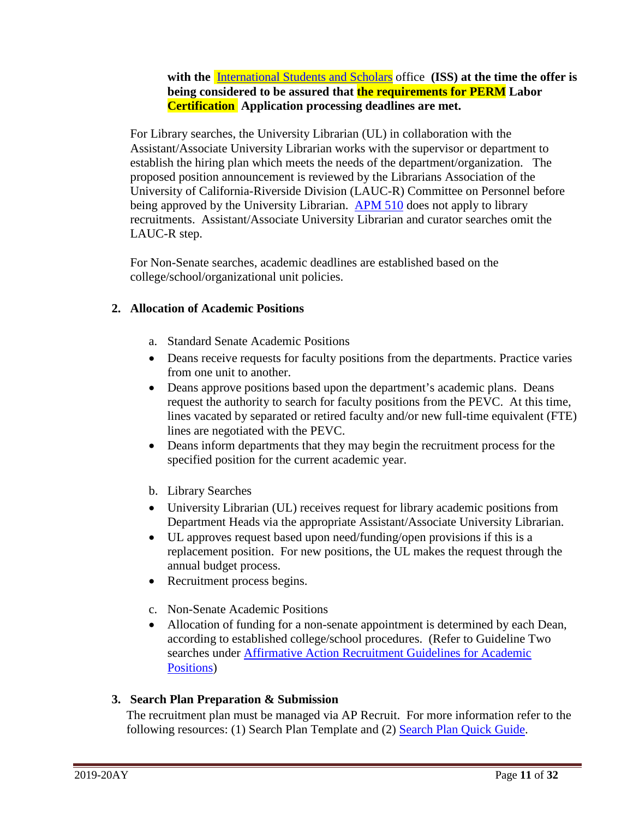**with the** [International Students and Scholars](http://internationalcenter.ucr.edu/about/index.html) office **(ISS) at the time the offer is being considered to be assured that the requirements for PERM Labor Certification Application processing deadlines are met.** 

For Library searches, the University Librarian (UL) in collaboration with the Assistant/Associate University Librarian works with the supervisor or department to establish the hiring plan which meets the needs of the department/organization. The proposed position announcement is reviewed by the Librarians Association of the University of California-Riverside Division (LAUC-R) Committee on Personnel before being approved by the University Librarian. [APM 510](http://www.ucop.edu/academic-personnel/_files/apm/apm-510.pdf) does not apply to library recruitments. Assistant/Associate University Librarian and curator searches omit the LAUC-R step.

For Non-Senate searches, academic deadlines are established based on the college/school/organizational unit policies.

#### <span id="page-11-0"></span>**2. Allocation of Academic Positions**

- a. Standard Senate Academic Positions
- Deans receive requests for faculty positions from the departments. Practice varies from one unit to another.
- Deans approve positions based upon the department's academic plans. Deans request the authority to search for faculty positions from the PEVC. At this time, lines vacated by separated or retired faculty and/or new full-time equivalent (FTE) lines are negotiated with the PEVC.
- Deans inform departments that they may begin the recruitment process for the specified position for the current academic year.
- b. Library Searches
- University Librarian (UL) receives request for library academic positions from Department Heads via the appropriate Assistant/Associate University Librarian.
- UL approves request based upon need/funding/open provisions if this is a replacement position. For new positions, the UL makes the request through the annual budget process.
- Recruitment process begins.
- c. Non-Senate Academic Positions
- Allocation of funding for a non-senate appointment is determined by each Dean, according to established college/school procedures. (Refer to Guideline Two searches under [Affirmative Action Recruitment Guidelines for Academic](https://hr.ucr.edu/sites/g/files/rcwecm656/files/2019-07/aa_recruitment_guidelines.pdf)  [Positions\)](https://hr.ucr.edu/sites/g/files/rcwecm656/files/2019-07/aa_recruitment_guidelines.pdf)

#### <span id="page-11-1"></span>**3. Search Plan Preparation & Submission**

The recruitment plan must be managed via AP Recruit. For more information refer to the following resources: (1) Search Plan Template and (2) [Search Plan Quick Guide.](http://cnc.ucr.edu/aprecruit/recruit_analyst_search_plan_checklist.pdf)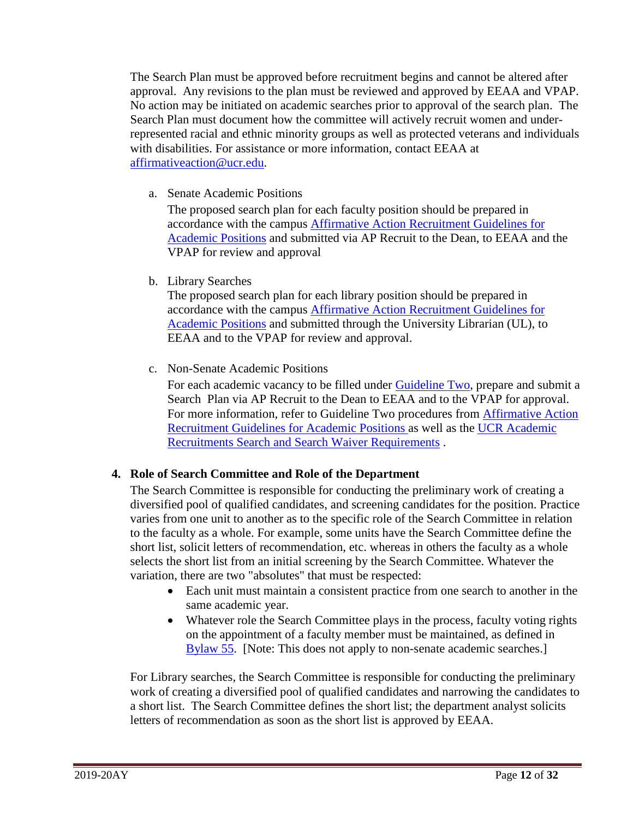The Search Plan must be approved before recruitment begins and cannot be altered after approval. Any revisions to the plan must be reviewed and approved by EEAA and VPAP. No action may be initiated on academic searches prior to approval of the search plan. The Search Plan must document how the committee will actively recruit women and underrepresented racial and ethnic minority groups as well as protected veterans and individuals with disabilities. For assistance or more information, contact EEAA at [affirmativeaction@ucr.edu.](mailto:affirmativeaction@ucr.edu)

a. Senate Academic Positions

The proposed search plan for each faculty position should be prepared in accordance with the campus [Affirmative Action Recruitment Guidelines for](https://hr.ucr.edu/sites/g/files/rcwecm656/files/2019-07/aa_recruitment_guidelines.pdf)  [Academic Positions](https://hr.ucr.edu/sites/g/files/rcwecm656/files/2019-07/aa_recruitment_guidelines.pdf) and submitted via AP Recruit to the Dean, to EEAA and the VPAP for review and approval

b. Library Searches

The proposed search plan for each library position should be prepared in accordance with the campus [Affirmative Action Recruitment Guidelines for](https://hr.ucr.edu/sites/g/files/rcwecm656/files/2019-07/aa_recruitment_guidelines.pdf)  [Academic Positions](https://hr.ucr.edu/sites/g/files/rcwecm656/files/2019-07/aa_recruitment_guidelines.pdf) and submitted through the University Librarian (UL), to EEAA and to the VPAP for review and approval.

c. Non-Senate Academic Positions

For each academic vacancy to be filled under **Guideline Two**, prepare and submit a Search Plan via AP Recruit to the Dean to EEAA and to the VPAP for approval. For more information, refer to Guideline Two procedures from [Affirmative Action](https://hr.ucr.edu/sites/g/files/rcwecm656/files/2019-07/aa_recruitment_guidelines.pdf)  [Recruitment Guidelines for Academic Positions](https://hr.ucr.edu/sites/g/files/rcwecm656/files/2019-07/aa_recruitment_guidelines.pdf) as well as the [UCR Academic](http://academicpersonnel.ucr.edu/resources/AcademicSearchandSearchWaiverRequirements.pdf)  [Recruitments Search and Search Waiver Requirements](http://academicpersonnel.ucr.edu/resources/AcademicSearchandSearchWaiverRequirements.pdf) .

#### <span id="page-12-0"></span>**4. Role of Search Committee and Role of the Department**

The Search Committee is responsible for conducting the preliminary work of creating a diversified pool of qualified candidates, and screening candidates for the position. Practice varies from one unit to another as to the specific role of the Search Committee in relation to the faculty as a whole. For example, some units have the Search Committee define the short list, solicit letters of recommendation, etc. whereas in others the faculty as a whole selects the short list from an initial screening by the Search Committee. Whatever the variation, there are two "absolutes" that must be respected:

- Each unit must maintain a consistent practice from one search to another in the same academic year.
- Whatever role the Search Committee plays in the process, faculty voting rights on the appointment of a faculty member must be maintained, as defined in [Bylaw 55.](http://senate.ucr.edu/bylaws/?action=read_bylaws&code=app§ion=04) [Note: This does not apply to non-senate academic searches.]

For Library searches, the Search Committee is responsible for conducting the preliminary work of creating a diversified pool of qualified candidates and narrowing the candidates to a short list. The Search Committee defines the short list; the department analyst solicits letters of recommendation as soon as the short list is approved by EEAA.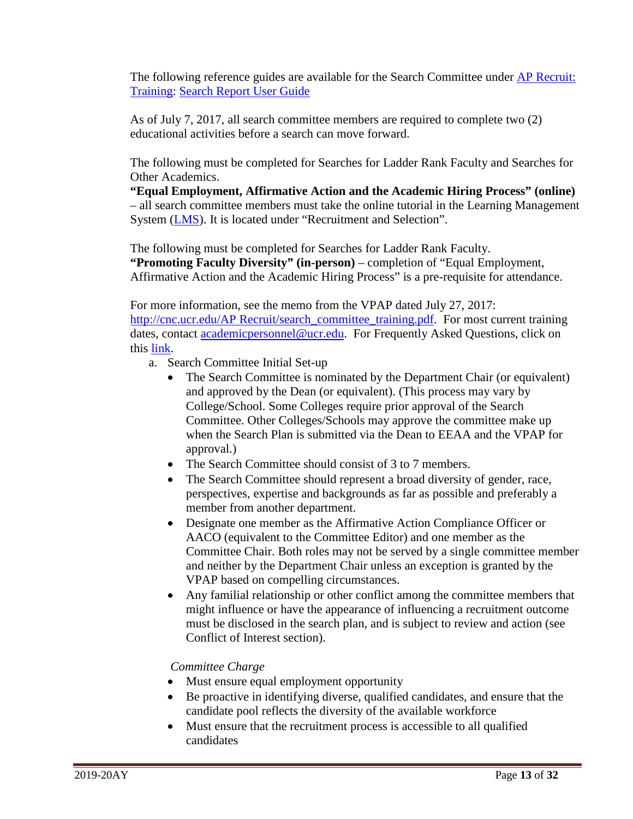The following reference guides are available for the Search Committee under [AP Recruit:](http://cnc.ucr.edu/aprecruit/training.html)  [Training:](http://cnc.ucr.edu/aprecruit/training.html) [Search Report User Guide](https://cnc.ucr.edu/aprecruit/search_report_guidelines.pdf)

As of July 7, 2017, all search committee members are required to complete two (2) educational activities before a search can move forward.

The following must be completed for Searches for Ladder Rank Faculty and Searches for Other Academics.

**"Equal Employment, Affirmative Action and the Academic Hiring Process" (online)** – all search committee members must take the online tutorial in the Learning Management System [\(LMS\)](http://ucrlearning.ucr.edu/). It is located under "Recruitment and Selection".

The following must be completed for Searches for Ladder Rank Faculty. **"Promoting Faculty Diversity" (in-person)** – completion of "Equal Employment, Affirmative Action and the Academic Hiring Process" is a pre-requisite for attendance.

For more information, see the memo from the VPAP dated July 27, 2017: [http://cnc.ucr.edu/AP Recruit/search\\_committee\\_training.pdf.](http://cnc.ucr.edu/aprecruit/search_committee_training.pdf) For most current training dates, contact **academicpersonnel@ucr.edu.** For Frequently Asked Questions, click on this [link.](http://cnc.ucr.edu/aprecruit/faq_search_committee_training_requirement.pdf)

- a. Search Committee Initial Set-up
	- The Search Committee is nominated by the Department Chair (or equivalent) and approved by the Dean (or equivalent). (This process may vary by College/School. Some Colleges require prior approval of the Search Committee. Other Colleges/Schools may approve the committee make up when the Search Plan is submitted via the Dean to EEAA and the VPAP for approval.)
	- The Search Committee should consist of 3 to 7 members.
	- The Search Committee should represent a broad diversity of gender, race, perspectives, expertise and backgrounds as far as possible and preferably a member from another department.
	- Designate one member as the Affirmative Action Compliance Officer or AACO (equivalent to the Committee Editor) and one member as the Committee Chair. Both roles may not be served by a single committee member and neither by the Department Chair unless an exception is granted by the VPAP based on compelling circumstances.
	- Any familial relationship or other conflict among the committee members that might influence or have the appearance of influencing a recruitment outcome must be disclosed in the search plan, and is subject to review and action (see Conflict of Interest section).

#### *Committee Charge*

- Must ensure equal employment opportunity
- Be proactive in identifying diverse, qualified candidates, and ensure that the candidate pool reflects the diversity of the available workforce
- Must ensure that the recruitment process is accessible to all qualified candidates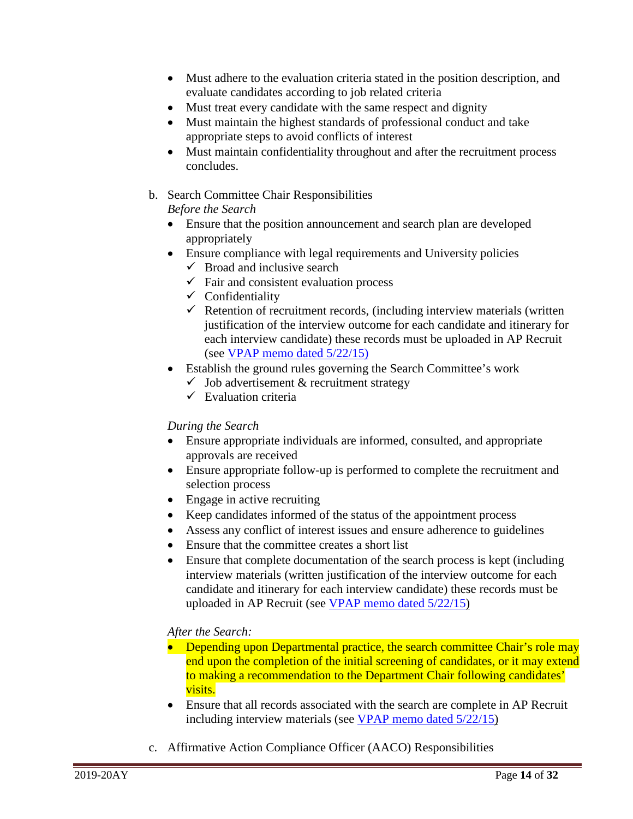- Must adhere to the evaluation criteria stated in the position description, and evaluate candidates according to job related criteria
- Must treat every candidate with the same respect and dignity
- Must maintain the highest standards of professional conduct and take appropriate steps to avoid conflicts of interest
- Must maintain confidentiality throughout and after the recruitment process concludes.
- b. Search Committee Chair Responsibilities

*Before the Search*

- Ensure that the position announcement and search plan are developed appropriately
- Ensure compliance with legal requirements and University policies
	- $\checkmark$  Broad and inclusive search
		- $\checkmark$  Fair and consistent evaluation process
		- $\checkmark$  Confidentiality
		- $\checkmark$  Retention of recruitment records, (including interview materials (written justification of the interview outcome for each candidate and itinerary for each interview candidate) these records must be uploaded in AP Recruit (see [VPAP memo dated 5/22/15\)](http://cnc.ucr.edu/aprecruit/vpap_memo_regarding_aprecruit_search_report_requirements.pdf)
- Establish the ground rules governing the Search Committee's work
	- $\checkmark$  Job advertisement & recruitment strategy
	- $\checkmark$  Evaluation criteria

#### *During the Search*

- Ensure appropriate individuals are informed, consulted, and appropriate approvals are received
- Ensure appropriate follow-up is performed to complete the recruitment and selection process
- Engage in active recruiting
- Keep candidates informed of the status of the appointment process
- Assess any conflict of interest issues and ensure adherence to guidelines
- Ensure that the committee creates a short list
- Ensure that complete documentation of the search process is kept (including interview materials (written justification of the interview outcome for each candidate and itinerary for each interview candidate) these records must be uploaded in AP Recruit (see [VPAP memo dated 5/22/15\)](http://cnc.ucr.edu/aprecruit/vpap_memo_regarding_aprecruit_search_report_requirements.pdf)

#### *After the Search:*

- Depending upon Departmental practice, the search committee Chair's role may end upon the completion of the initial screening of candidates, or it may extend to making a recommendation to the Department Chair following candidates' visits.
- Ensure that all records associated with the search are complete in AP Recruit including interview materials (see [VPAP memo dated 5/22/15\)](http://cnc.ucr.edu/aprecruit/vpap_memo_regarding_aprecruit_search_report_requirements.pdf)
- c. Affirmative Action Compliance Officer (AACO) Responsibilities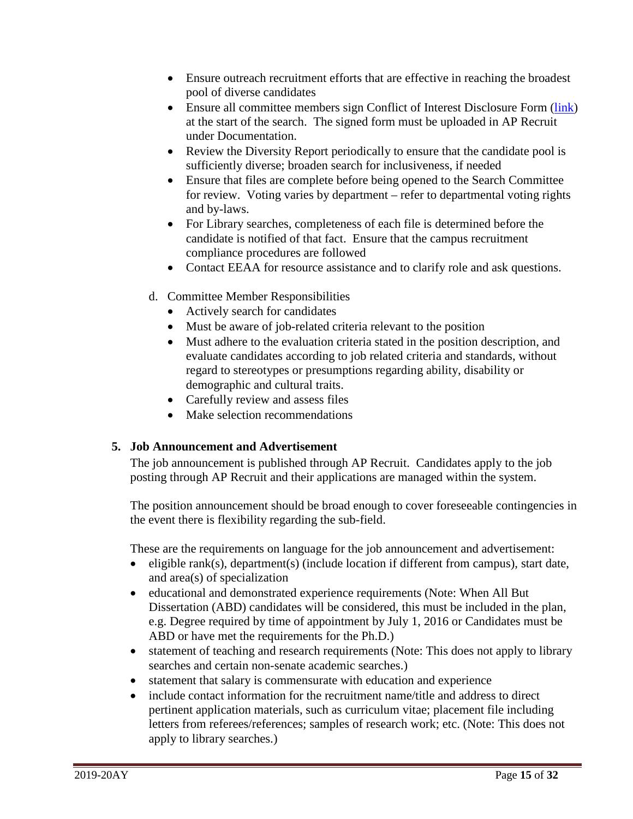- Ensure outreach recruitment efforts that are effective in reaching the broadest pool of diverse candidates
- Ensure all committee members sign Conflict of Interest Disclosure Form [\(link\)](http://academicpersonnel.ucr.edu/checklists_and_forms/general_forms/Conflict%20of%20Interest.pdf) at the start of the search. The signed form must be uploaded in AP Recruit under Documentation.
- Review the Diversity Report periodically to ensure that the candidate pool is sufficiently diverse; broaden search for inclusiveness, if needed
- Ensure that files are complete before being opened to the Search Committee for review. Voting varies by department – refer to departmental voting rights and by-laws.
- For Library searches, completeness of each file is determined before the candidate is notified of that fact. Ensure that the campus recruitment compliance procedures are followed
- Contact EEAA for resource assistance and to clarify role and ask questions.
- d. Committee Member Responsibilities
	- Actively search for candidates
	- Must be aware of job-related criteria relevant to the position
	- Must adhere to the evaluation criteria stated in the position description, and evaluate candidates according to job related criteria and standards, without regard to stereotypes or presumptions regarding ability, disability or demographic and cultural traits.
	- Carefully review and assess files
	- Make selection recommendations

#### <span id="page-15-0"></span>**5. Job Announcement and Advertisement**

The job announcement is published through AP Recruit. Candidates apply to the job posting through AP Recruit and their applications are managed within the system.

The position announcement should be broad enough to cover foreseeable contingencies in the event there is flexibility regarding the sub-field.

These are the requirements on language for the job announcement and advertisement:

- eligible rank(s), department(s) (include location if different from campus), start date, and area(s) of specialization
- educational and demonstrated experience requirements (Note: When All But Dissertation (ABD) candidates will be considered, this must be included in the plan, e.g. Degree required by time of appointment by July 1, 2016 or Candidates must be ABD or have met the requirements for the Ph.D.)
- statement of teaching and research requirements (Note: This does not apply to library searches and certain non-senate academic searches.)
- statement that salary is commensurate with education and experience
- include contact information for the recruitment name/title and address to direct pertinent application materials, such as curriculum vitae; placement file including letters from referees/references; samples of research work; etc. (Note: This does not apply to library searches.)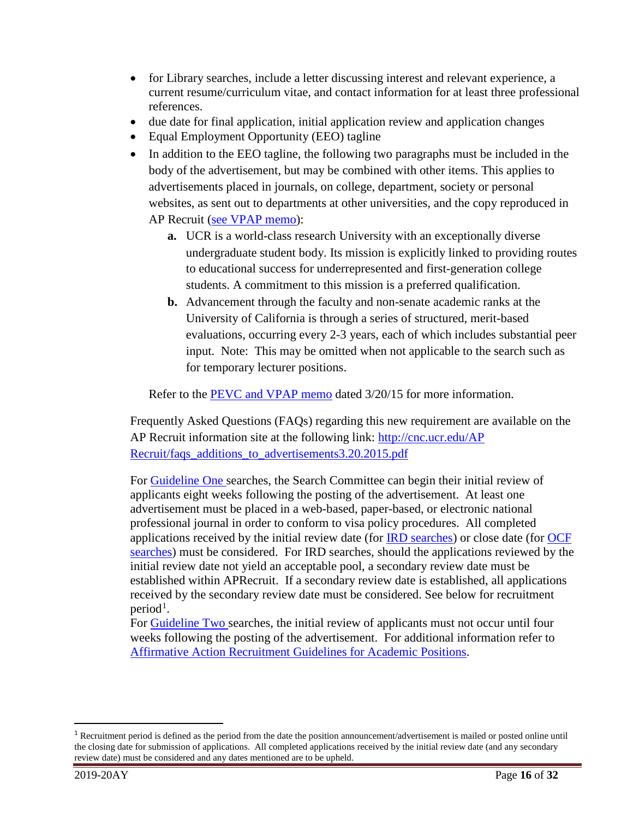- for Library searches, include a letter discussing interest and relevant experience, a current resume/curriculum vitae, and contact information for at least three professional references.
- due date for final application, initial application review and application changes
- Equal Employment Opportunity (EEO) tagline
- In addition to the EEO tagline, the following two paragraphs must be included in the body of the advertisement, but may be combined with other items. This applies to advertisements placed in journals, on college, department, society or personal websites, as sent out to departments at other universities, and the copy reproduced in AP Recruit [\(see VPAP memo\)](http://cnc.ucr.edu/aprecruit/pevc_and_vpap_memo-additions_to_advertisements.pdf):
	- **a.** UCR is a world-class research University with an exceptionally diverse undergraduate student body. Its mission is explicitly linked to providing routes to educational success for underrepresented and first-generation college students. A commitment to this mission is a preferred qualification.
	- **b.** Advancement through the faculty and non-senate academic ranks at the University of California is through a series of structured, merit-based evaluations, occurring every 2-3 years, each of which includes substantial peer input. Note: This may be omitted when not applicable to the search such as for temporary lecturer positions.

Refer to the [PEVC and VPAP memo](http://cnc.ucr.edu/aprecruit/pevc_and_vpap_memo-additions_to_advertisements.pdf) dated 3/20/15 for more information.

Frequently Asked Questions (FAQs) regarding this new requirement are available on the AP Recruit information site at the following link: [http://cnc.ucr.edu/AP](http://cnc.ucr.edu/aprecruit/faqs_additions_to_advertisements3.20.2015.pdf)  [Recruit/faqs\\_additions\\_to\\_advertisements3.20.2015.pdf](http://cnc.ucr.edu/aprecruit/faqs_additions_to_advertisements3.20.2015.pdf)

For [Guideline One s](http://hr.ucr.edu/docs/affirmativeaction_diversity/aa_recruitment_guidelines.pdf)earches, the Search Committee can begin their initial review of applicants eight weeks following the posting of the advertisement. At least one advertisement must be placed in a web-based, paper-based, or electronic national professional journal in order to conform to visa policy procedures. All completed applications received by the initial review date (for [IRD searches\)](http://cnc.ucr.edu/aprecruit/ucr_aprecruit_user_guide.pdf) or close date (for [OCF](http://cnc.ucr.edu/aprecruit/ucr_aprecruit_user_guide.pdf)  [searches\)](http://cnc.ucr.edu/aprecruit/ucr_aprecruit_user_guide.pdf) must be considered. For IRD searches, should the applications reviewed by the initial review date not yield an acceptable pool, a secondary review date must be established within APRecruit. If a secondary review date is established, all applications received by the secondary review date must be considered. See below for recruitment period<sup>[1](#page-16-0)</sup>.

For [Guideline Two](http://hr.ucr.edu/docs/affirmativeaction_diversity/aa_recruitment_guidelines.pdf) searches, the initial review of applicants must not occur until four weeks following the posting of the advertisement. For additional information refer to [Affirmative Action Recruitment Guidelines for Academic Positions.](https://hr.ucr.edu/sites/g/files/rcwecm656/files/2019-07/aa_recruitment_guidelines.pdf)

<span id="page-16-0"></span> <sup>1</sup> Recruitment period is defined as the period from the date the position announcement/advertisement is mailed or posted online until the closing date for submission of applications. All completed applications received by the initial review date (and any secondary review date) must be considered and any dates mentioned are to be upheld.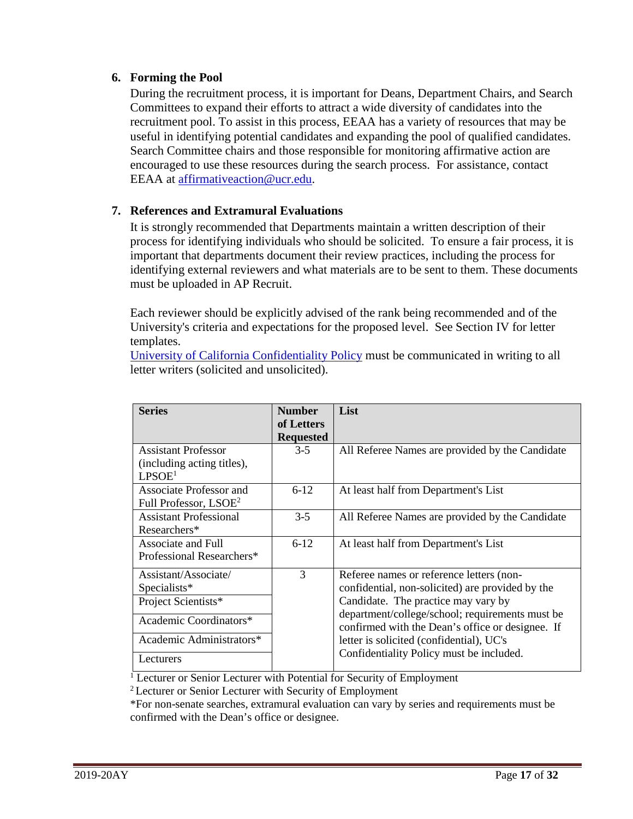#### <span id="page-17-0"></span>**6. Forming the Pool**

During the recruitment process, it is important for Deans, Department Chairs, and Search Committees to expand their efforts to attract a wide diversity of candidates into the recruitment pool. To assist in this process, EEAA has a variety of resources that may be useful in identifying potential candidates and expanding the pool of qualified candidates. Search Committee chairs and those responsible for monitoring affirmative action are encouraged to use these resources during the search process. For assistance, contact EEAA at [affirmativeaction@ucr.edu.](mailto:affirmativeaction@ucr.edu)

#### <span id="page-17-1"></span>**7. References and Extramural Evaluations**

It is strongly recommended that Departments maintain a written description of their process for identifying individuals who should be solicited. To ensure a fair process, it is important that departments document their review practices, including the process for identifying external reviewers and what materials are to be sent to them. These documents must be uploaded in AP Recruit.

Each reviewer should be explicitly advised of the rank being recommended and of the University's criteria and expectations for the proposed level. See Section IV for letter templates.

[University of California Confidentiality Policy](http://academicpersonnel.ucr.acsitefactory.com/sites/g/files/rcwecm1261/files/2018-08/attachment_e-8_-_uc_confidentiality_policy.pdf) must be communicated in writing to all letter writers (solicited and unsolicited).

| <b>Series</b>                                                                  | <b>Number</b><br>of Letters<br><b>Requested</b> | List                                                                                                |
|--------------------------------------------------------------------------------|-------------------------------------------------|-----------------------------------------------------------------------------------------------------|
| <b>Assistant Professor</b><br>(including acting titles),<br>LPSOE <sup>1</sup> | $3-5$                                           | All Referee Names are provided by the Candidate                                                     |
| <b>Associate Professor and</b><br>Full Professor, LSOE <sup>2</sup>            | $6 - 12$                                        | At least half from Department's List                                                                |
| <b>Assistant Professional</b><br>Researchers*                                  | $3-5$                                           | All Referee Names are provided by the Candidate                                                     |
| Associate and Full<br>Professional Researchers*                                | $6 - 12$                                        | At least half from Department's List                                                                |
| Assistant/Associate/<br>Specialists*                                           | 3                                               | Referee names or reference letters (non-<br>confidential, non-solicited) are provided by the        |
| Project Scientists*                                                            |                                                 | Candidate. The practice may vary by                                                                 |
| Academic Coordinators*                                                         |                                                 | department/college/school; requirements must be<br>confirmed with the Dean's office or designee. If |
| Academic Administrators*                                                       |                                                 | letter is solicited (confidential), UC's                                                            |
| Lecturers                                                                      |                                                 | Confidentiality Policy must be included.                                                            |

<sup>1</sup> Lecturer or Senior Lecturer with Potential for Security of Employment

2 Lecturer or Senior Lecturer with Security of Employment

\*For non-senate searches, extramural evaluation can vary by series and requirements must be confirmed with the Dean's office or designee.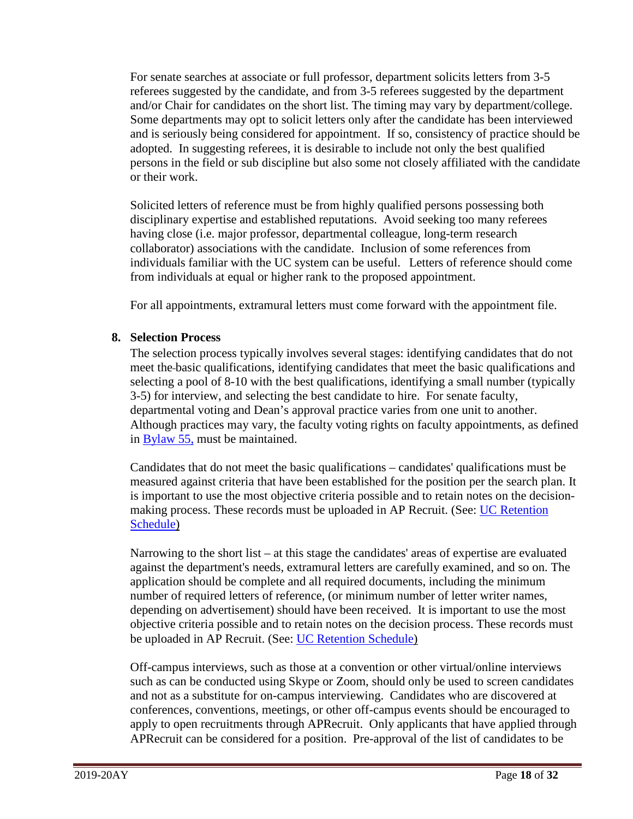For senate searches at associate or full professor, department solicits letters from 3-5 referees suggested by the candidate, and from 3-5 referees suggested by the department and/or Chair for candidates on the short list. The timing may vary by department/college. Some departments may opt to solicit letters only after the candidate has been interviewed and is seriously being considered for appointment. If so, consistency of practice should be adopted. In suggesting referees, it is desirable to include not only the best qualified persons in the field or sub discipline but also some not closely affiliated with the candidate or their work.

Solicited letters of reference must be from highly qualified persons possessing both disciplinary expertise and established reputations. Avoid seeking too many referees having close (i.e. major professor, departmental colleague, long-term research collaborator) associations with the candidate. Inclusion of some references from individuals familiar with the UC system can be useful. Letters of reference should come from individuals at equal or higher rank to the proposed appointment.

For all appointments, extramural letters must come forward with the appointment file.

#### <span id="page-18-0"></span>**8. Selection Process**

The selection process typically involves several stages: identifying candidates that do not meet the basic qualifications, identifying candidates that meet the basic qualifications and selecting a pool of 8-10 with the best qualifications, identifying a small number (typically 3-5) for interview, and selecting the best candidate to hire. For senate faculty, departmental voting and Dean's approval practice varies from one unit to another. Although practices may vary, the faculty voting rights on faculty appointments, as defined in [Bylaw 55,](http://senate.ucr.edu/bylaws/?action=read_bylaws&code=app§ion=04) must be maintained.

Candidates that do not meet the basic qualifications – candidates' qualifications must be measured against criteria that have been established for the position per the search plan. It is important to use the most objective criteria possible and to retain notes on the decisionmaking process. These records must be uploaded in AP Recruit. (See: UC Retention [Schedule\)](https://recordsretention.ucop.edu/)

Narrowing to the short list – at this stage the candidates' areas of expertise are evaluated against the department's needs, extramural letters are carefully examined, and so on. The application should be complete and all required documents, including the minimum number of required letters of reference, (or minimum number of letter writer names, depending on advertisement) should have been received. It is important to use the most objective criteria possible and to retain notes on the decision process. These records must be uploaded in AP Recruit. (See: [UC Retention Schedule\)](http://recordsretention.ucop.edu/)

Off-campus interviews, such as those at a convention or other virtual/online interviews such as can be conducted using Skype or Zoom, should only be used to screen candidates and not as a substitute for on-campus interviewing. Candidates who are discovered at conferences, conventions, meetings, or other off-campus events should be encouraged to apply to open recruitments through APRecruit. Only applicants that have applied through APRecruit can be considered for a position. Pre-approval of the list of candidates to be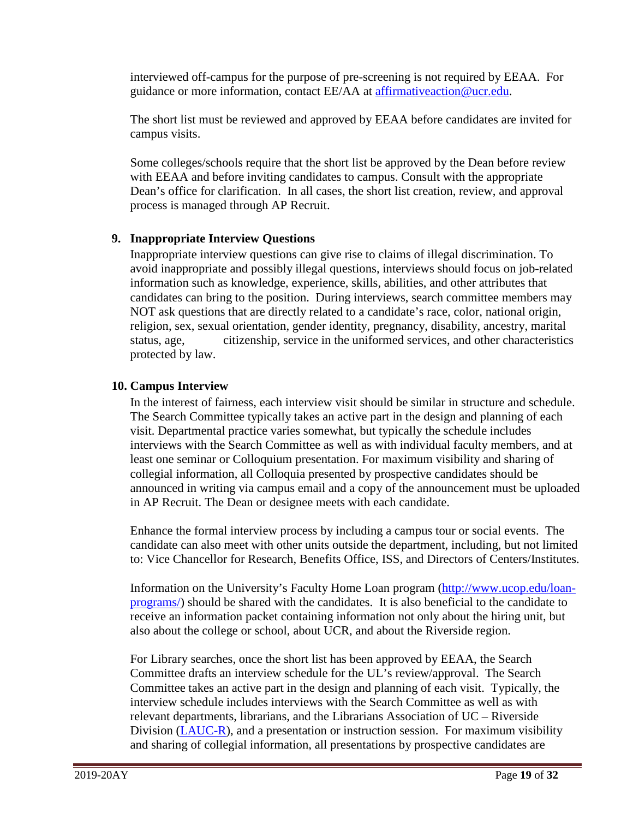interviewed off-campus for the purpose of pre-screening is not required by EEAA. For guidance or more information, contact EE/AA at [affirmativeaction@ucr.edu.](mailto:affirmativeaction@ucr.edu)

The short list must be reviewed and approved by EEAA before candidates are invited for campus visits.

Some colleges/schools require that the short list be approved by the Dean before review with EEAA and before inviting candidates to campus. Consult with the appropriate Dean's office for clarification. In all cases, the short list creation, review, and approval process is managed through AP Recruit.

#### <span id="page-19-0"></span>**9. Inappropriate Interview Questions**

Inappropriate interview questions can give rise to claims of illegal discrimination. To avoid inappropriate and possibly illegal questions, interviews should focus on job-related information such as knowledge, experience, skills, abilities, and other attributes that candidates can bring to the position. During interviews, search committee members may NOT ask questions that are directly related to a candidate's race, color, national origin, religion, sex, sexual orientation, gender identity, pregnancy, disability, ancestry, marital status, age, citizenship, service in the uniformed services, and other characteristics protected by law.

#### <span id="page-19-1"></span>**10. Campus Interview**

In the interest of fairness, each interview visit should be similar in structure and schedule. The Search Committee typically takes an active part in the design and planning of each visit. Departmental practice varies somewhat, but typically the schedule includes interviews with the Search Committee as well as with individual faculty members, and at least one seminar or Colloquium presentation. For maximum visibility and sharing of collegial information, all Colloquia presented by prospective candidates should be announced in writing via campus email and a copy of the announcement must be uploaded in AP Recruit. The Dean or designee meets with each candidate.

Enhance the formal interview process by including a campus tour or social events. The candidate can also meet with other units outside the department, including, but not limited to: Vice Chancellor for Research, Benefits Office, ISS, and Directors of Centers/Institutes.

Information on the University's Faculty Home Loan program [\(http://www.ucop.edu/loan](http://www.ucop.edu/loan-programs/)[programs/\)](http://www.ucop.edu/loan-programs/) should be shared with the candidates. It is also beneficial to the candidate to receive an information packet containing information not only about the hiring unit, but also about the college or school, about UCR, and about the Riverside region.

For Library searches, once the short list has been approved by EEAA, the Search Committee drafts an interview schedule for the UL's review/approval. The Search Committee takes an active part in the design and planning of each visit. Typically, the interview schedule includes interviews with the Search Committee as well as with relevant departments, librarians, and the Librarians Association of UC – Riverside Division [\(LAUC-R\)](http://laucr.ucr.edu/), and a presentation or instruction session. For maximum visibility and sharing of collegial information, all presentations by prospective candidates are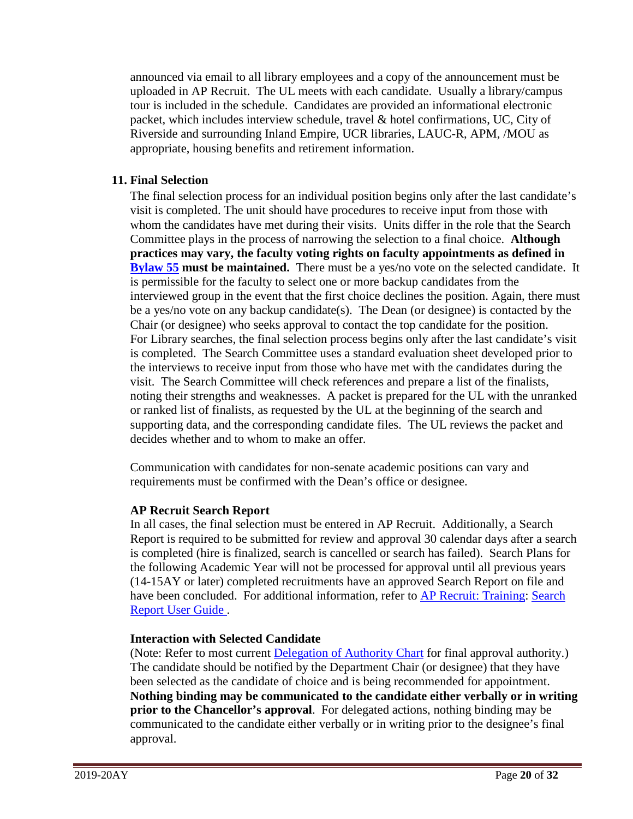announced via email to all library employees and a copy of the announcement must be uploaded in AP Recruit. The UL meets with each candidate. Usually a library/campus tour is included in the schedule. Candidates are provided an informational electronic packet, which includes interview schedule, travel & hotel confirmations, UC, City of Riverside and surrounding Inland Empire, UCR libraries, LAUC-R, APM, /MOU as appropriate, housing benefits and retirement information.

#### <span id="page-20-0"></span>**11. Final Selection**

The final selection process for an individual position begins only after the last candidate's visit is completed. The unit should have procedures to receive input from those with whom the candidates have met during their visits. Units differ in the role that the Search Committee plays in the process of narrowing the selection to a final choice. **Although practices may vary, the faculty voting rights on faculty appointments as defined in [Bylaw 55](http://senate.ucr.edu/bylaws/?action=read_bylaws&code=app§ion=04) must be maintained.** There must be a yes/no vote on the selected candidate. It is permissible for the faculty to select one or more backup candidates from the interviewed group in the event that the first choice declines the position. Again, there must be a yes/no vote on any backup candidate(s). The Dean (or designee) is contacted by the Chair (or designee) who seeks approval to contact the top candidate for the position. For Library searches, the final selection process begins only after the last candidate's visit is completed. The Search Committee uses a standard evaluation sheet developed prior to the interviews to receive input from those who have met with the candidates during the visit. The Search Committee will check references and prepare a list of the finalists, noting their strengths and weaknesses. A packet is prepared for the UL with the unranked or ranked list of finalists, as requested by the UL at the beginning of the search and supporting data, and the corresponding candidate files. The UL reviews the packet and decides whether and to whom to make an offer.

Communication with candidates for non-senate academic positions can vary and requirements must be confirmed with the Dean's office or designee.

#### **AP Recruit Search Report**

In all cases, the final selection must be entered in AP Recruit. Additionally, a Search Report is required to be submitted for review and approval 30 calendar days after a search is completed (hire is finalized, search is cancelled or search has failed). Search Plans for the following Academic Year will not be processed for approval until all previous years (14-15AY or later) completed recruitments have an approved Search Report on file and have been concluded. For additional information, refer to [AP Recruit: Training:](http://cnc.ucr.edu/aprecruit/training.html) Search [Report User Guide .](https://cnc.ucr.edu/aprecruit/search_report_guidelines.pdf)

#### **Interaction with Selected Candidate**

(Note: Refer to most current **Delegation of Authority Chart** for final approval authority.) The candidate should be notified by the Department Chair (or designee) that they have been selected as the candidate of choice and is being recommended for appointment. **Nothing binding may be communicated to the candidate either verbally or in writing prior to the Chancellor's approval**. For delegated actions, nothing binding may be communicated to the candidate either verbally or in writing prior to the designee's final approval.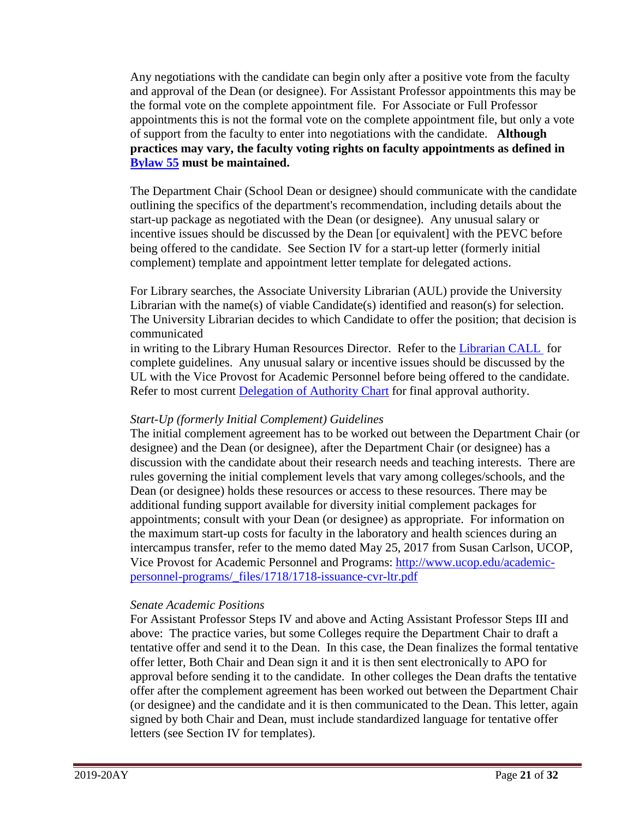Any negotiations with the candidate can begin only after a positive vote from the faculty and approval of the Dean (or designee). For Assistant Professor appointments this may be the formal vote on the complete appointment file. For Associate or Full Professor appointments this is not the formal vote on the complete appointment file, but only a vote of support from the faculty to enter into negotiations with the candidate. **Although practices may vary, the faculty voting rights on faculty appointments as defined in [Bylaw 55](http://senate.ucr.edu/bylaws/?action=read_bylaws&code=app§ion=04) must be maintained.**

The Department Chair (School Dean or designee) should communicate with the candidate outlining the specifics of the department's recommendation, including details about the start-up package as negotiated with the Dean (or designee). Any unusual salary or incentive issues should be discussed by the Dean [or equivalent] with the PEVC before being offered to the candidate. See Section IV for a start-up letter (formerly initial complement) template and appointment letter template for delegated actions.

For Library searches, the Associate University Librarian (AUL) provide the University Librarian with the name(s) of viable Candidate(s) identified and reason(s) for selection. The University Librarian decides to which Candidate to offer the position; that decision is communicated

in writing to the Library Human Resources Director. Refer to the [Librarian CALL](http://academicpersonnel.ucr.edu/checklists_and_forms/academic_reviews/LibCall.pdf) for complete guidelines. Any unusual salary or incentive issues should be discussed by the UL with the Vice Provost for Academic Personnel before being offered to the candidate. Refer to most current [Delegation of Authority Chart](http://academicpersonnel.ucr.edu/resources/doachart.pdf) for final approval authority.

#### *Start-Up (formerly Initial Complement) Guidelines*

The initial complement agreement has to be worked out between the Department Chair (or designee) and the Dean (or designee), after the Department Chair (or designee) has a discussion with the candidate about their research needs and teaching interests. There are rules governing the initial complement levels that vary among colleges/schools, and the Dean (or designee) holds these resources or access to these resources. There may be additional funding support available for diversity initial complement packages for appointments; consult with your Dean (or designee) as appropriate. For information on the maximum start-up costs for faculty in the laboratory and health sciences during an intercampus transfer, refer to the memo dated May 25, 2017 from Susan Carlson, UCOP, Vice Provost for Academic Personnel and Programs: [http://www.ucop.edu/academic](http://www.ucop.edu/academic-personnel-programs/_files/1718/1718-issuance-cvr-ltr.pdf)[personnel-programs/\\_files/1718/1718-issuance-cvr-ltr.pdf](http://www.ucop.edu/academic-personnel-programs/_files/1718/1718-issuance-cvr-ltr.pdf)

#### *Senate Academic Positions*

For Assistant Professor Steps IV and above and Acting Assistant Professor Steps III and above: The practice varies, but some Colleges require the Department Chair to draft a tentative offer and send it to the Dean. In this case, the Dean finalizes the formal tentative offer letter, Both Chair and Dean sign it and it is then sent electronically to APO for approval before sending it to the candidate. In other colleges the Dean drafts the tentative offer after the complement agreement has been worked out between the Department Chair (or designee) and the candidate and it is then communicated to the Dean. This letter, again signed by both Chair and Dean, must include standardized language for tentative offer letters (see Section IV for templates).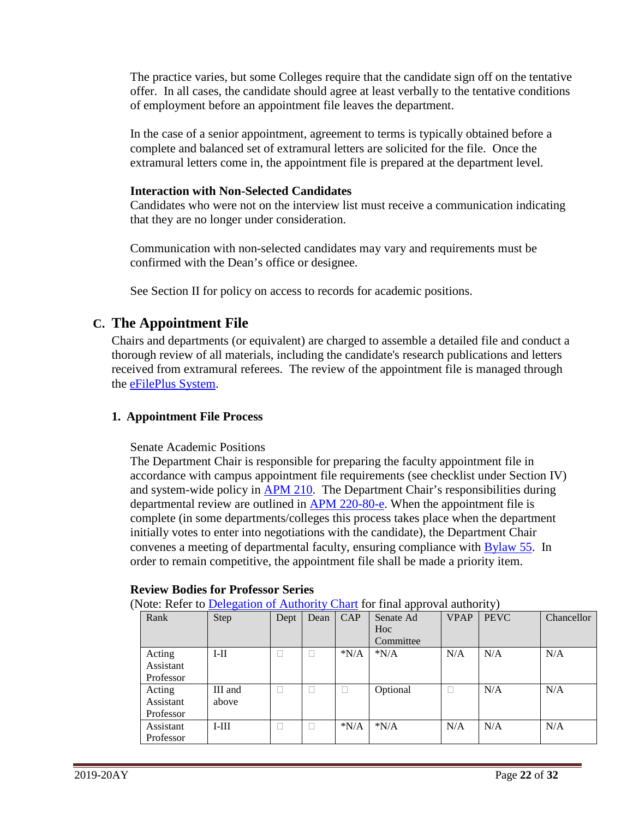The practice varies, but some Colleges require that the candidate sign off on the tentative offer. In all cases, the candidate should agree at least verbally to the tentative conditions of employment before an appointment file leaves the department.

In the case of a senior appointment, agreement to terms is typically obtained before a complete and balanced set of extramural letters are solicited for the file. Once the extramural letters come in, the appointment file is prepared at the department level.

#### **Interaction with Non-Selected Candidates**

Candidates who were not on the interview list must receive a communication indicating that they are no longer under consideration.

Communication with non-selected candidates may vary and requirements must be confirmed with the Dean's office or designee.

See Section II for policy on access to records for academic positions.

# <span id="page-22-0"></span>**C. The Appointment File**

Chairs and departments (or equivalent) are charged to assemble a detailed file and conduct a thorough review of all materials, including the candidate's research publications and letters received from extramural referees. The review of the appointment file is managed through the [eFilePlus](http://efileinfo.ucr.edu/) System.

#### <span id="page-22-1"></span>**1. Appointment File Process**

Senate Academic Positions

The Department Chair is responsible for preparing the faculty appointment file in accordance with campus appointment file requirements (see checklist under Section IV) and system-wide policy in [APM 210.](http://www.ucop.edu/academic-personnel/_files/apm/apm-210.pdf) The Department Chair's responsibilities during departmental review are outlined in [APM 220-80-e.](https://www.ucop.edu/academic-personnel-programs/_files/apm/apm-220.pdf#page=12) When the appointment file is complete (in some departments/colleges this process takes place when the department initially votes to enter into negotiations with the candidate), the Department Chair convenes a meeting of departmental faculty, ensuring compliance with [Bylaw 55.](http://senate.ucr.edu/bylaws/?action=read_bylaws&code=app§ion=04) In order to remain competitive, the appointment file shall be made a priority item.

#### **Review Bodies for Professor Series**

(Note: Refer to [Delegation of Authority Chart](http://academicpersonnel.ucr.edu/resources/doachart.pdf) for final approval authority)

| Rank      | Step    | Dept | Dean | CAP | Senate Ad | <b>VPAP</b> | <b>PEVC</b> | Chancellor |
|-----------|---------|------|------|-----|-----------|-------------|-------------|------------|
|           |         |      |      |     | Hoc       |             |             |            |
|           |         |      |      |     | Committee |             |             |            |
| Acting    | $I-II$  |      |      | N/A | N/A       | N/A         | N/A         | N/A        |
| Assistant |         |      |      |     |           |             |             |            |
| Professor |         |      |      |     |           |             |             |            |
| Acting    | III and |      |      | Ш   | Optional  |             | N/A         | N/A        |
| Assistant | above   |      |      |     |           |             |             |            |
| Professor |         |      |      |     |           |             |             |            |
| Assistant | $I-III$ |      |      | N/A | N/A       | N/A         | N/A         | N/A        |
| Professor |         |      |      |     |           |             |             |            |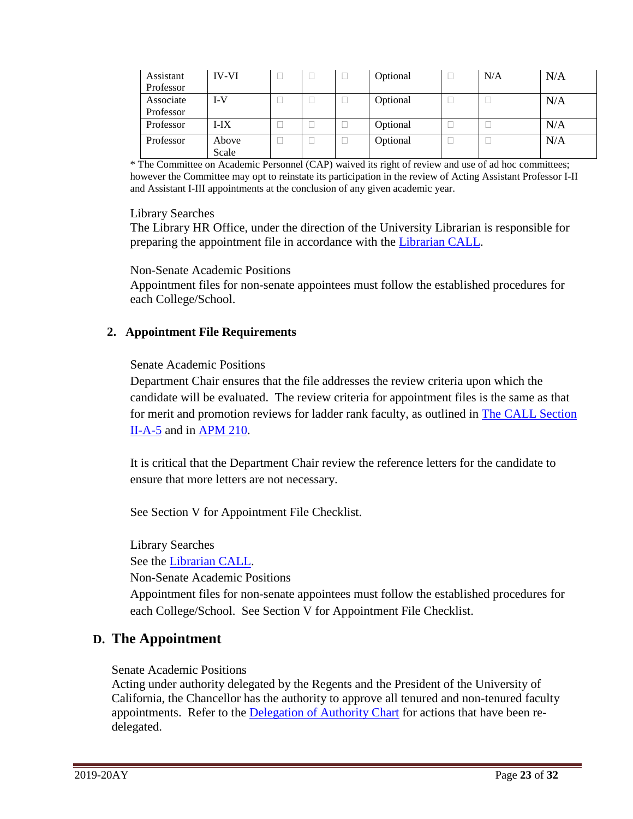| Assistant | <b>IV-VI</b> |  | Optional | N/A | N/A |
|-----------|--------------|--|----------|-----|-----|
| Professor |              |  |          |     |     |
| Associate | $I-V$        |  | Optional |     | N/A |
| Professor |              |  |          |     |     |
| Professor | $I-IX$       |  | Optional |     | N/A |
| Professor | Above        |  | Optional |     | N/A |
|           | Scale        |  |          |     |     |

\* The Committee on Academic Personnel (CAP) waived its right of review and use of ad hoc committees; however the Committee may opt to reinstate its participation in the review of Acting Assistant Professor I-II and Assistant I-III appointments at the conclusion of any given academic year.

#### Library Searches

The Library HR Office, under the direction of the University Librarian is responsible for preparing the appointment file in accordance with the [Librarian CALL.](http://academicpersonnel.ucr.edu/checklists_and_forms/academic_reviews/LibCall.pdf)

#### Non-Senate Academic Positions

Appointment files for non-senate appointees must follow the established procedures for each College/School.

#### <span id="page-23-0"></span>**2. Appointment File Requirements**

Senate Academic Positions

Department Chair ensures that the file addresses the review criteria upon which the candidate will be evaluated. The review criteria for appointment files is the same as that for merit and promotion reviews for ladder rank faculty, as outlined in **The CALL Section**  $II-A-5$  and in [APM 210.](http://www.ucop.edu/academic-personnel/_files/apm/apm-210.pdf)

It is critical that the Department Chair review the reference letters for the candidate to ensure that more letters are not necessary.

See Section V for Appointment File Checklist.

Library Searches

See the [Librarian CALL.](http://academicpersonnel.ucr.edu/checklists_and_forms/academic_reviews/LibCall.pdf)

Non-Senate Academic Positions

Appointment files for non-senate appointees must follow the established procedures for each College/School. See Section V for Appointment File Checklist.

# <span id="page-23-1"></span>**D. The Appointment**

#### Senate Academic Positions

Acting under authority delegated by the Regents and the President of the University of California, the Chancellor has the authority to approve all tenured and non-tenured faculty appointments. Refer to the **Delegation of Authority Chart** for actions that have been redelegated.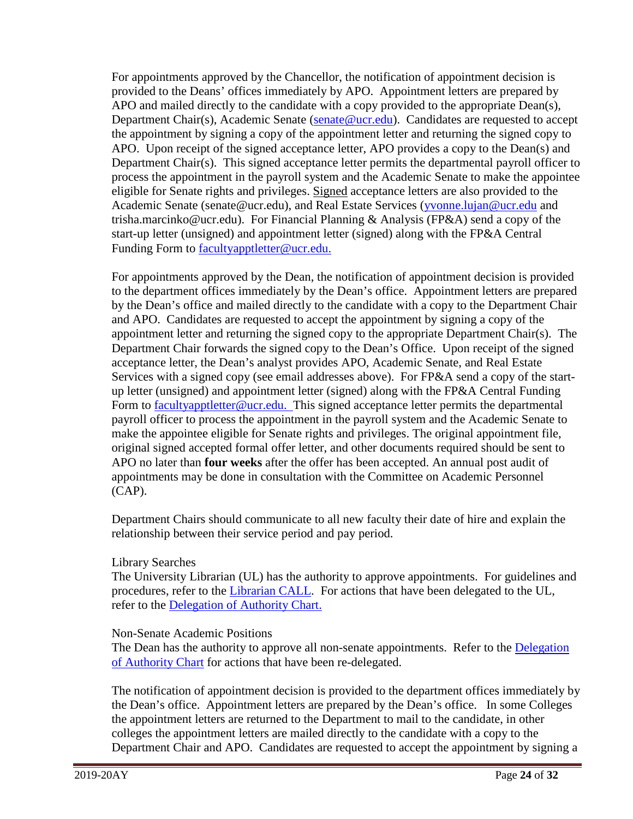For appointments approved by the Chancellor, the notification of appointment decision is provided to the Deans' offices immediately by APO. Appointment letters are prepared by APO and mailed directly to the candidate with a copy provided to the appropriate Dean(s), Department Chair(s), Academic Senate [\(senate@ucr.edu\)](mailto:senate@ucr.edu). Candidates are requested to accept the appointment by signing a copy of the appointment letter and returning the signed copy to APO. Upon receipt of the signed acceptance letter, APO provides a copy to the Dean(s) and Department Chair(s). This signed acceptance letter permits the departmental payroll officer to process the appointment in the payroll system and the Academic Senate to make the appointee eligible for Senate rights and privileges. Signed acceptance letters are also provided to the Academic Senate (senate@ucr.edu), and Real Estate Services [\(yvonne.lujan@ucr.edu](mailto:yvonne.lujan@ucr.edu) and trisha.marcinko@ucr.edu). For Financial Planning & Analysis (FP&A) send a copy of the start-up letter (unsigned) and appointment letter (signed) along with the FP&A Central Funding Form to [facultyapptletter@ucr.edu.](mailto:facultyapptletter@ucr.edu)

For appointments approved by the Dean, the notification of appointment decision is provided to the department offices immediately by the Dean's office. Appointment letters are prepared by the Dean's office and mailed directly to the candidate with a copy to the Department Chair and APO. Candidates are requested to accept the appointment by signing a copy of the appointment letter and returning the signed copy to the appropriate Department Chair(s). The Department Chair forwards the signed copy to the Dean's Office. Upon receipt of the signed acceptance letter, the Dean's analyst provides APO, Academic Senate, and Real Estate Services with a signed copy (see email addresses above). For FP&A send a copy of the startup letter (unsigned) and appointment letter (signed) along with the FP&A Central Funding Form to [facultyapptletter@ucr.edu.](mailto:facultyapptletter@ucr.edu) This signed acceptance letter permits the departmental payroll officer to process the appointment in the payroll system and the Academic Senate to make the appointee eligible for Senate rights and privileges. The original appointment file, original signed accepted formal offer letter, and other documents required should be sent to APO no later than **four weeks** after the offer has been accepted. An annual post audit of appointments may be done in consultation with the Committee on Academic Personnel (CAP).

Department Chairs should communicate to all new faculty their date of hire and explain the relationship between their service period and pay period.

#### Library Searches

The University Librarian (UL) has the authority to approve appointments. For guidelines and procedures, refer to the *Librarian CALL*. For actions that have been delegated to the UL, refer to the [Delegation of Authority Chart.](http://academicpersonnel.ucr.edu/resources/DOAChart.pdf)

#### Non-Senate Academic Positions

The Dean has the authority to approve all non-senate appointments. Refer to the Delegation [of Authority Chart](http://academicpersonnel.ucr.edu/resources/DOAChart.pdf) for actions that have been re-delegated.

The notification of appointment decision is provided to the department offices immediately by the Dean's office. Appointment letters are prepared by the Dean's office. In some Colleges the appointment letters are returned to the Department to mail to the candidate, in other colleges the appointment letters are mailed directly to the candidate with a copy to the Department Chair and APO. Candidates are requested to accept the appointment by signing a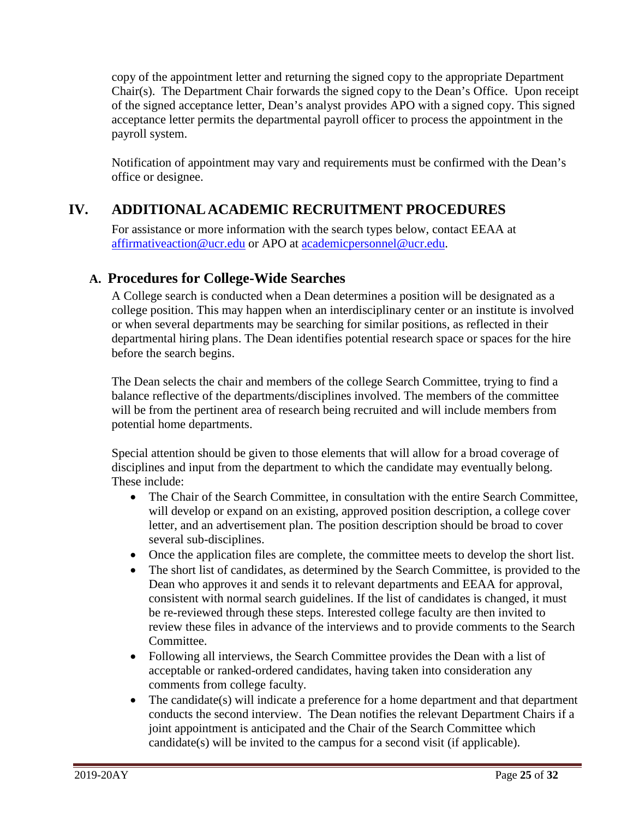copy of the appointment letter and returning the signed copy to the appropriate Department Chair(s). The Department Chair forwards the signed copy to the Dean's Office. Upon receipt of the signed acceptance letter, Dean's analyst provides APO with a signed copy. This signed acceptance letter permits the departmental payroll officer to process the appointment in the payroll system.

Notification of appointment may vary and requirements must be confirmed with the Dean's office or designee.

# <span id="page-25-0"></span>**IV. ADDITIONAL ACADEMIC RECRUITMENT PROCEDURES**

For assistance or more information with the search types below, contact EEAA at [affirmativeaction@ucr.edu](mailto:affirmativeaction@ucr.edu) or APO at [academicpersonnel@ucr.edu.](mailto:academicpersonnel@ucr.edu)

# <span id="page-25-1"></span>**A. Procedures for College-Wide Searches**

A College search is conducted when a Dean determines a position will be designated as a college position. This may happen when an interdisciplinary center or an institute is involved or when several departments may be searching for similar positions, as reflected in their departmental hiring plans. The Dean identifies potential research space or spaces for the hire before the search begins.

The Dean selects the chair and members of the college Search Committee, trying to find a balance reflective of the departments/disciplines involved. The members of the committee will be from the pertinent area of research being recruited and will include members from potential home departments.

Special attention should be given to those elements that will allow for a broad coverage of disciplines and input from the department to which the candidate may eventually belong. These include:

- The Chair of the Search Committee, in consultation with the entire Search Committee, will develop or expand on an existing, approved position description, a college cover letter, and an advertisement plan. The position description should be broad to cover several sub-disciplines.
- Once the application files are complete, the committee meets to develop the short list.
- The short list of candidates, as determined by the Search Committee, is provided to the Dean who approves it and sends it to relevant departments and EEAA for approval, consistent with normal search guidelines. If the list of candidates is changed, it must be re-reviewed through these steps. Interested college faculty are then invited to review these files in advance of the interviews and to provide comments to the Search Committee.
- Following all interviews, the Search Committee provides the Dean with a list of acceptable or ranked-ordered candidates, having taken into consideration any comments from college faculty.
- The candidate(s) will indicate a preference for a home department and that department conducts the second interview. The Dean notifies the relevant Department Chairs if a joint appointment is anticipated and the Chair of the Search Committee which candidate(s) will be invited to the campus for a second visit (if applicable).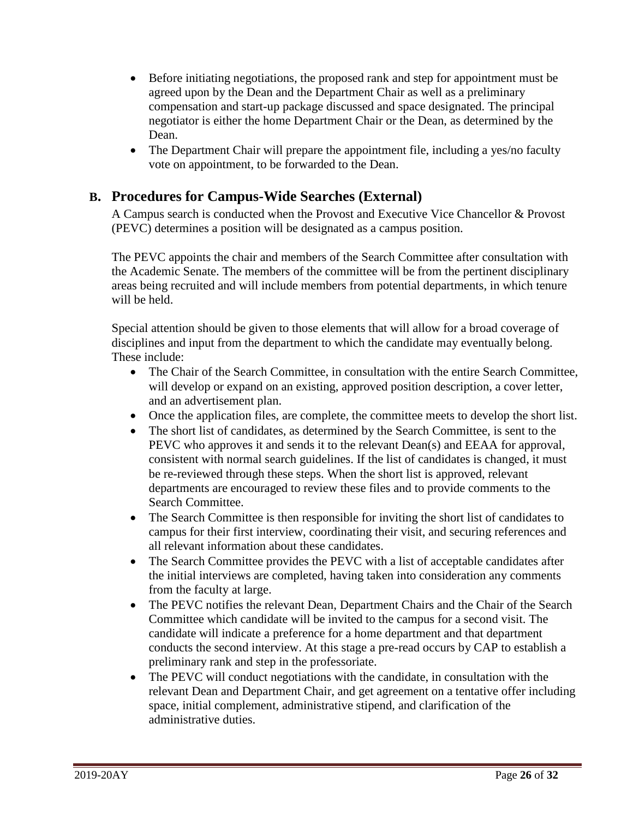- Before initiating negotiations, the proposed rank and step for appointment must be agreed upon by the Dean and the Department Chair as well as a preliminary compensation and start-up package discussed and space designated. The principal negotiator is either the home Department Chair or the Dean, as determined by the Dean.
- The Department Chair will prepare the appointment file, including a yes/no faculty vote on appointment, to be forwarded to the Dean.

# <span id="page-26-0"></span>**B. Procedures for Campus-Wide Searches (External)**

A Campus search is conducted when the Provost and Executive Vice Chancellor & Provost (PEVC) determines a position will be designated as a campus position.

The PEVC appoints the chair and members of the Search Committee after consultation with the Academic Senate. The members of the committee will be from the pertinent disciplinary areas being recruited and will include members from potential departments, in which tenure will be held.

Special attention should be given to those elements that will allow for a broad coverage of disciplines and input from the department to which the candidate may eventually belong. These include:

- The Chair of the Search Committee, in consultation with the entire Search Committee, will develop or expand on an existing, approved position description, a cover letter, and an advertisement plan.
- Once the application files, are complete, the committee meets to develop the short list.
- The short list of candidates, as determined by the Search Committee, is sent to the PEVC who approves it and sends it to the relevant Dean(s) and EEAA for approval, consistent with normal search guidelines. If the list of candidates is changed, it must be re-reviewed through these steps. When the short list is approved, relevant departments are encouraged to review these files and to provide comments to the Search Committee.
- The Search Committee is then responsible for inviting the short list of candidates to campus for their first interview, coordinating their visit, and securing references and all relevant information about these candidates.
- The Search Committee provides the PEVC with a list of acceptable candidates after the initial interviews are completed, having taken into consideration any comments from the faculty at large.
- The PEVC notifies the relevant Dean, Department Chairs and the Chair of the Search Committee which candidate will be invited to the campus for a second visit. The candidate will indicate a preference for a home department and that department conducts the second interview. At this stage a pre-read occurs by CAP to establish a preliminary rank and step in the professoriate.
- The PEVC will conduct negotiations with the candidate, in consultation with the relevant Dean and Department Chair, and get agreement on a tentative offer including space, initial complement, administrative stipend, and clarification of the administrative duties.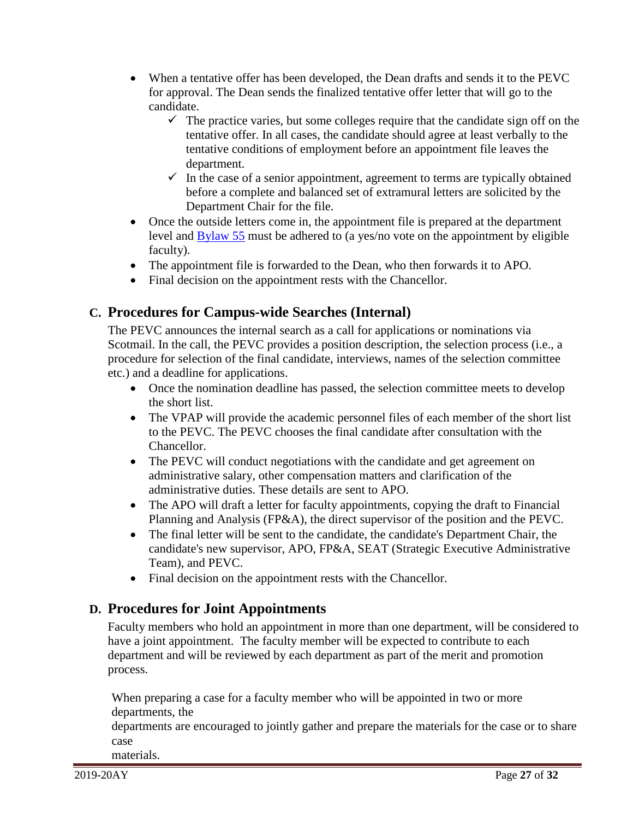- When a tentative offer has been developed, the Dean drafts and sends it to the PEVC for approval. The Dean sends the finalized tentative offer letter that will go to the candidate.
	- $\checkmark$  The practice varies, but some colleges require that the candidate sign off on the tentative offer. In all cases, the candidate should agree at least verbally to the tentative conditions of employment before an appointment file leaves the department.
	- $\checkmark$  In the case of a senior appointment, agreement to terms are typically obtained before a complete and balanced set of extramural letters are solicited by the Department Chair for the file.
- Once the outside letters come in, the appointment file is prepared at the department level and [Bylaw 55](http://senate.ucr.edu/bylaws/?action=read_bylaws&code=app§ion=04) must be adhered to (a yes/no vote on the appointment by eligible faculty).
- The appointment file is forwarded to the Dean, who then forwards it to APO.
- Final decision on the appointment rests with the Chancellor.

# <span id="page-27-0"></span>**C. Procedures for Campus-wide Searches (Internal)**

The PEVC announces the internal search as a call for applications or nominations via Scotmail. In the call, the PEVC provides a position description, the selection process (i.e., a procedure for selection of the final candidate, interviews, names of the selection committee etc.) and a deadline for applications.

- Once the nomination deadline has passed, the selection committee meets to develop the short list.
- The VPAP will provide the academic personnel files of each member of the short list to the PEVC. The PEVC chooses the final candidate after consultation with the Chancellor.
- The PEVC will conduct negotiations with the candidate and get agreement on administrative salary, other compensation matters and clarification of the administrative duties. These details are sent to APO.
- The APO will draft a letter for faculty appointments, copying the draft to Financial Planning and Analysis (FP&A), the direct supervisor of the position and the PEVC.
- The final letter will be sent to the candidate, the candidate's Department Chair, the candidate's new supervisor, APO, FP&A, SEAT (Strategic Executive Administrative Team), and PEVC.
- Final decision on the appointment rests with the Chancellor.

# <span id="page-27-1"></span>**D. Procedures for Joint Appointments**

Faculty members who hold an appointment in more than one department, will be considered to have a joint appointment. The faculty member will be expected to contribute to each department and will be reviewed by each department as part of the merit and promotion process.

When preparing a case for a faculty member who will be appointed in two or more departments, the

departments are encouraged to jointly gather and prepare the materials for the case or to share case

materials.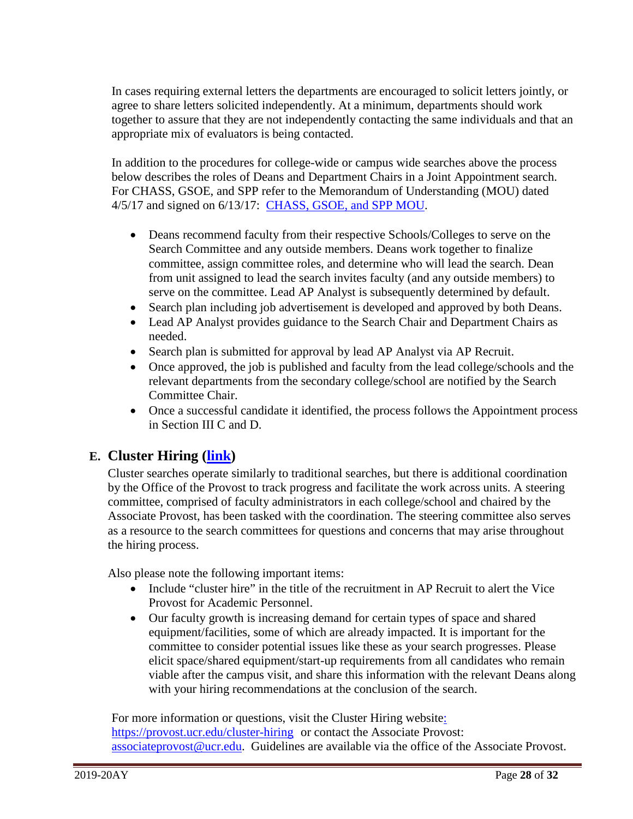In cases requiring external letters the departments are encouraged to solicit letters jointly, or agree to share letters solicited independently. At a minimum, departments should work together to assure that they are not independently contacting the same individuals and that an appropriate mix of evaluators is being contacted.

In addition to the procedures for college-wide or campus wide searches above the process below describes the roles of Deans and Department Chairs in a Joint Appointment search. For CHASS, GSOE, and SPP refer to the Memorandum of Understanding (MOU) dated 4/5/17 and signed on 6/13/17: [CHASS, GSOE, and SPP MOU.](http://academicpersonnel.ucr.edu/policies_and_procedures/SPP_CHASS_GSOE%20Guidelines%20and%20MOU%20for%20Joint%20Academic%20Appointment.pdf)

- Deans recommend faculty from their respective Schools/Colleges to serve on the Search Committee and any outside members. Deans work together to finalize committee, assign committee roles, and determine who will lead the search. Dean from unit assigned to lead the search invites faculty (and any outside members) to serve on the committee. Lead AP Analyst is subsequently determined by default.
- Search plan including job advertisement is developed and approved by both Deans.
- Lead AP Analyst provides guidance to the Search Chair and Department Chairs as needed.
- Search plan is submitted for approval by lead AP Analyst via AP Recruit.
- Once approved, the job is published and faculty from the lead college/schools and the relevant departments from the secondary college/school are notified by the Search Committee Chair.
- Once a successful candidate it identified, the process follows the Appointment process in Section III C and D.

# <span id="page-28-0"></span>**E. Cluster Hiring [\(link\)](https://provost.ucr.edu/cluster-hiring)**

Cluster searches operate similarly to traditional searches, but there is additional coordination by the Office of the Provost to track progress and facilitate the work across units. A steering committee, comprised of faculty administrators in each college/school and chaired by the Associate Provost, has been tasked with the coordination. The steering committee also serves as a resource to the search committees for questions and concerns that may arise throughout the hiring process.

Also please note the following important items:

- Include "cluster hire" in the title of the recruitment in AP Recruit to alert the Vice Provost for Academic Personnel.
- Our faculty growth is increasing demand for certain types of space and shared equipment/facilities, some of which are already impacted. It is important for the committee to consider potential issues like these as your search progresses. Please elicit space/shared equipment/start-up requirements from all candidates who remain viable after the campus visit, and share this information with the relevant Deans along with your hiring recommendations at the conclusion of the search.

For more information or questions, visit the Cluster Hiring website: <https://provost.ucr.edu/cluster-hiring> or contact the Associate Provost: associateprovost@ucr.edu. Guidelines are available via the office of the Associate Provost.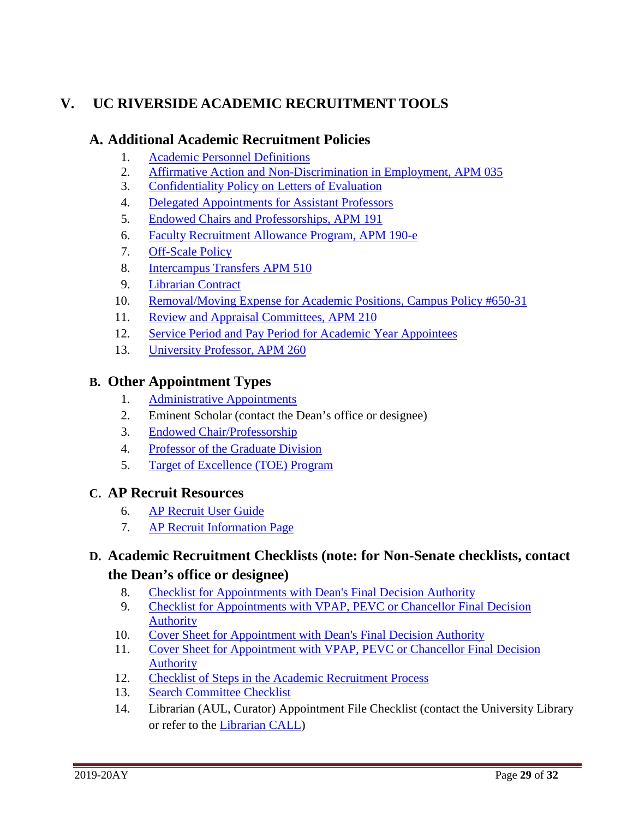# <span id="page-29-0"></span>**V. UC RIVERSIDE ACADEMIC RECRUITMENT TOOLS**

### <span id="page-29-1"></span>**A. Additional Academic Recruitment Policies**

- 1. [Academic Personnel Definitions](http://www.ucop.edu/academic-personnel/_files/apm/apm-110.pdf)
- 2. [Affirmative Action and Non-Discrimination in Employment, APM 035](http://www.ucop.edu/academic-personnel/_files/apm/apm-035.pdf)
- 3. [Confidentiality Policy on Letters of Evaluation](http://academicpersonnel.ucr.acsitefactory.com/sites/g/files/rcwecm1261/files/2018-08/attachment_e-8_-_uc_confidentiality_policy.pdf)
- 4. [Delegated Appointments for Assistant Professors](https://academicpersonnel.ucr.edu/sites/g/files/rcwecm1261/files/2019-01/Delegation%20Assistant%20Professor%20Appointments%20procedures.pdf)
- 5. [Endowed Chairs and Professorships, APM 191](http://www.ucop.edu/academic-personnel/_files/apm/apm-191.pdf)
- 6. [Faculty Recruitment Allowance Program, APM 190-e](http://www.ucop.edu/academic-personnel/_files/apm/apm-190-e.pdf)
- 7. [Off-Scale Policy](http://academicpersonnel.ucr.edu/compensation/offscalepolicy.pdf)
- 8. [Intercampus Transfers APM 510](http://www.ucop.edu/academic-personnel/_files/apm/apm-510.pdf)
- 9. [Librarian Contract](http://ucnet.universityofcalifornia.edu/labor/bargaining-units/lx/index.html)
- 10. [Removal/Moving Expense for Academic Positions, Campus Policy #650-31](http://fboapps.ucr.edu/policies/index.php?path=viewPolicies.php&policy=650-31)
- 11. [Review and Appraisal Committees, APM 210](http://www.ucop.edu/academic-personnel/_files/apm/apm-210.pdf)
- 12. [Service Period and Pay Period for Academic Year Appointees](http://academicpersonnel.ucr.edu/compensation/ServicePeriodvsPayPeriod.pdf)
- 13. [University Professor, APM 260](http://www.ucop.edu/academic-personnel/_files/apm/apm-260.pdf)

### <span id="page-29-2"></span>**B. Other Appointment Types**

- 1. [Administrative Appointments](http://academicpersonnel.ucr.edu/resources/AdministrativeAppointments.html)
- 2. Eminent Scholar (contact the Dean's office or designee)
- 3. [Endowed Chair/Professorship](https://academicpersonnel.ucr.edu/policies_and_procedures/EndowedChair.pdf)
- 4. Professor [of the Graduate Division](https://senate.ucr.edu/emeriti/02.%20PGD%20Program%20Overview.pdf)
- 5. [Target of Excellence \(TOE\) Program](https://academicpersonnel.ucr.edu/sites/g/files/rcwecm1261/files/2018-12/Target%20of%20Excellence%20%28TOE%29.pdf)

### <span id="page-29-3"></span>**C. AP Recruit Resources**

- 6. [AP Recruit User Guide](http://cnc.ucr.edu/aprecruit/ucr_aprecruit_user_guide.pdf)
- 7. [AP Recruit Information Page](http://cnc.ucr.edu/aprecruit/)

# <span id="page-29-4"></span>**D. Academic Recruitment Checklists (note: for Non-Senate checklists, contact the Dean's office or designee)**

- 8. [Checklist for Appointments with Dean's Final Decision Authority](http://academicpersonnel.ucr.acsitefactory.com/sites/g/files/rcwecm1261/files/2018-08/attachment_c7-appointment.pdf)
- 9. [Checklist for Appointments with VPAP, PEVC or Chancellor Final Decision](http://academicpersonnel.ucr.edu/the_call/17-18/Attachment%20C8-Appointment%20Clinical.pdf)  [Authority](http://academicpersonnel.ucr.edu/the_call/17-18/Attachment%20C8-Appointment%20Clinical.pdf)
- 10. [Cover Sheet for Appointment with Dean's Final Decision Authority](http://academicpersonnel.ucr.acsitefactory.com/sites/g/files/rcwecm1261/files/2018-08/cover_sheet_for_acting_assistant_i_ii_and_assistant_professor_i_ii_iii_appointments.pdf)
- 11. Cover Sheet for Appointment with VPAP, PEVC or Chancellor Final Decision [Authority](http://academicpersonnel.ucr.acsitefactory.com/sites/g/files/rcwecm1261/files/2018-08/cover_sheet_for_acting_assistant_professor_iii_above_and_assistant_professor_iv_above_appointments.pdf)
- 12. [Checklist of Steps in the Academic Recruitment Process](http://cnc.ucr.edu/aprecruit/processhecklist91813.pdf)
- 13. [Search Committee](http://academicpersonnel.ucr.edu/checklists_and_forms/appointment_forms/SearchCommitteeChecklist.pdf) Checklist
- 14. Librarian (AUL, Curator) Appointment File Checklist (contact the University Library or refer to the [Librarian CALL\)](http://academicpersonnel.ucr.edu/checklists_and_forms/academic_reviews/LibCall.pdf)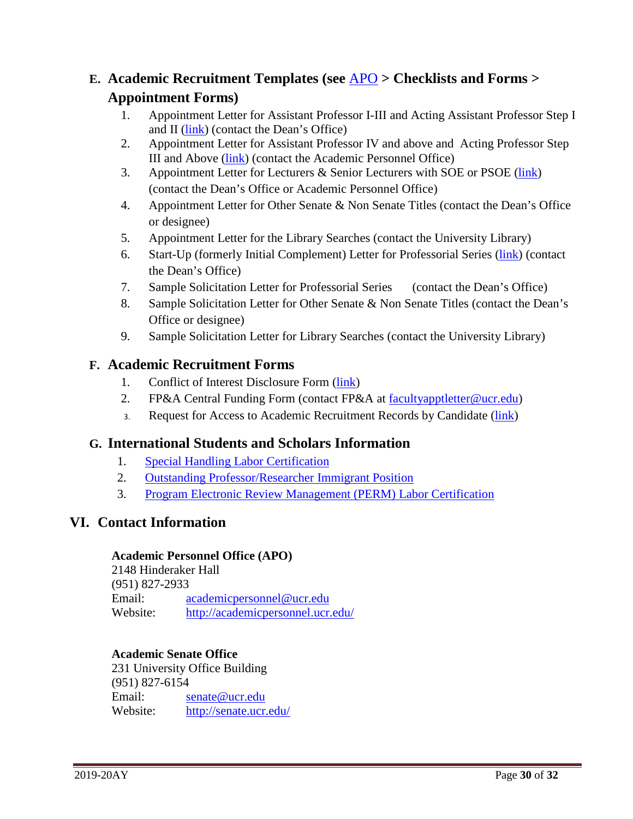# <span id="page-30-0"></span>**E. Academic Recruitment Templates (see** [APO](http://academicpersonnel.ucr.edu/checklists_and_forms/) **> Checklists and Forms > Appointment Forms)**

- 1. Appointment Letter for Assistant Professor I-III and Acting Assistant Professor Step I and II [\(link\)](http://academicpersonnel.ucr.edu/checklists_and_forms/) (contact the Dean's Office)
- 2. Appointment Letter for Assistant Professor IV and above and Acting Professor Step III and Above [\(link\)](http://academicpersonnel.ucr.edu/checklists_and_forms/) (contact the Academic Personnel Office)
- 3. Appointment Letter for Lecturers & Senior Lecturers with SOE or PSOE [\(link\)](http://academicpersonnel.ucr.edu/checklists_and_forms/) (contact the Dean's Office or Academic Personnel Office)
- 4. Appointment Letter for Other Senate & Non Senate Titles (contact the Dean's Office or designee)
- 5. Appointment Letter for the Library Searches (contact the University Library)
- 6. Start-Up (formerly Initial Complement) Letter for Professorial Series [\(link\)](http://academicpersonnel.ucr.edu/checklists_and_forms/) (contact the Dean's Office)
- 7. Sample Solicitation Letter for Professorial Series (contact the Dean's Office)
- 8. Sample Solicitation Letter for Other Senate & Non Senate Titles (contact the Dean's Office or designee)
- 9. Sample Solicitation Letter for Library Searches (contact the University Library)

# <span id="page-30-1"></span>**F. Academic Recruitment Forms**

- 1. Conflict of Interest Disclosure Form [\(link\)](http://academicpersonnel.ucr.edu/checklists_and_forms/general_forms/Conflict%20of%20Interest.pdf)
- 2. FP&A Central Funding Form (contact FP&A at [facultyapptletter@ucr.edu\)](mailto:budgetoffice@ucr.edu)
- 3. Request for Access to Academic Recruitment Records by Candidate [\(link\)](http://academicpersonnel.ucr.acsitefactory.com/sites/g/files/rcwecm1261/files/2018-08/candidate_request_for_recruitment_records.pdf)

### <span id="page-30-2"></span>**G. International Students and Scholars Information**

- 1. [Special Handling Labor Certification](http://internationalscholars.ucr.edu/resources/forms/general/UCR%20Special%20Handing%20Process.pdf)
- 2. [Outstanding Professor/Researcher Immigrant Position](http://internationalscholars.ucr.edu/resources/forms/general/UCR%20Outstanding%20Research%20Process.pdf)
- 3. [Program Electronic Review Management \(PERM\) Labor Certification](http://internationalscholars.ucr.edu/resources/forms/general/UCR%20Labor%20Certification%20(PERM)%20Process.pdf)

# <span id="page-30-3"></span>**VI. Contact Information**

#### **Academic Personnel Office (APO)**

2148 Hinderaker Hall (951) 827-2933 Email: [academicpersonnel@ucr.edu](mailto:academicpersonnel@ucr.edu) Website: <http://academicpersonnel.ucr.edu/>

#### **Academic Senate Office**

231 University Office Building (951) 827-6154 Email: [senate@ucr.edu](mailto:senate@ucr.edu) Website: <http://senate.ucr.edu/>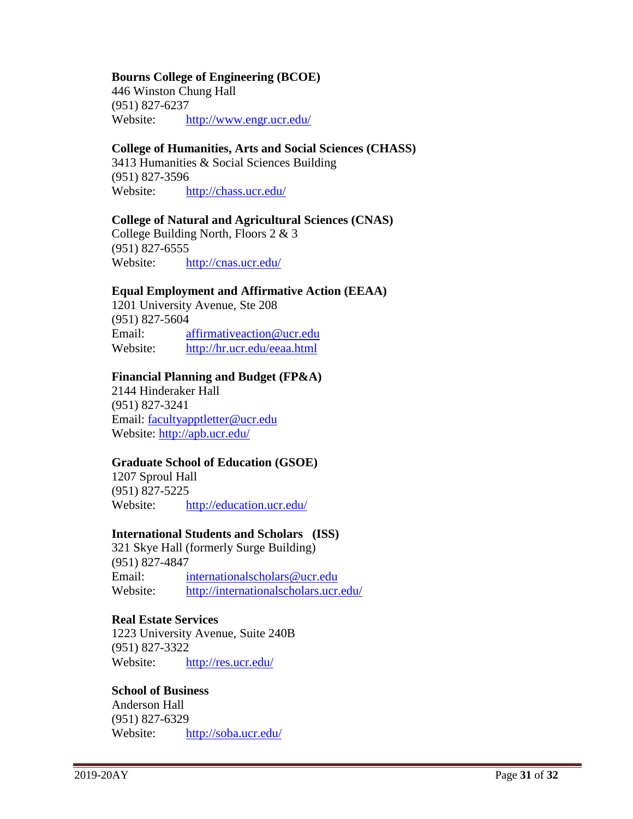#### **Bourns College of Engineering (BCOE)**

446 Winston Chung Hall (951) 827-6237 Website: <http://www.engr.ucr.edu/>

#### **College of Humanities, Arts and Social Sciences (CHASS)**

3413 Humanities & Social Sciences Building (951) 827-3596 Website: <http://chass.ucr.edu/>

#### **College of Natural and Agricultural Sciences (CNAS)**

College Building North, Floors 2 & 3 (951) 827-6555 Website: <http://cnas.ucr.edu/>

#### **Equal Employment and Affirmative Action (EEAA)**

1201 University Avenue, Ste 208 (951) 827-5604 Email: [affirmativeaction@ucr.edu](mailto:affirmativeaction@ucr.edu) Website: <http://hr.ucr.edu/eeaa.html>

#### **Financial Planning and Budget (FP&A)**

2144 Hinderaker Hall (951) 827-3241 Email: [facultyapptletter@ucr.edu](mailto:facultyapptletter@ucr.edu) Website:<http://apb.ucr.edu/>

#### **Graduate School of Education (GSOE)**

1207 Sproul Hall (951) 827-5225 Website: <http://education.ucr.edu/>

#### **International Students and Scholars (ISS)**

321 Skye Hall (formerly Surge Building) (951) 827-4847 Email: [internationalscholars@ucr.edu](mailto:internationalscholars@ucr.edu) Website: <http://internationalscholars.ucr.edu/>

#### **Real Estate Services**

1223 University Avenue, Suite 240B (951) 827-3322 Website: <http://res.ucr.edu/>

#### **School of Business**

Anderson Hall (951) 827-6329 Website: <http://soba.ucr.edu/>